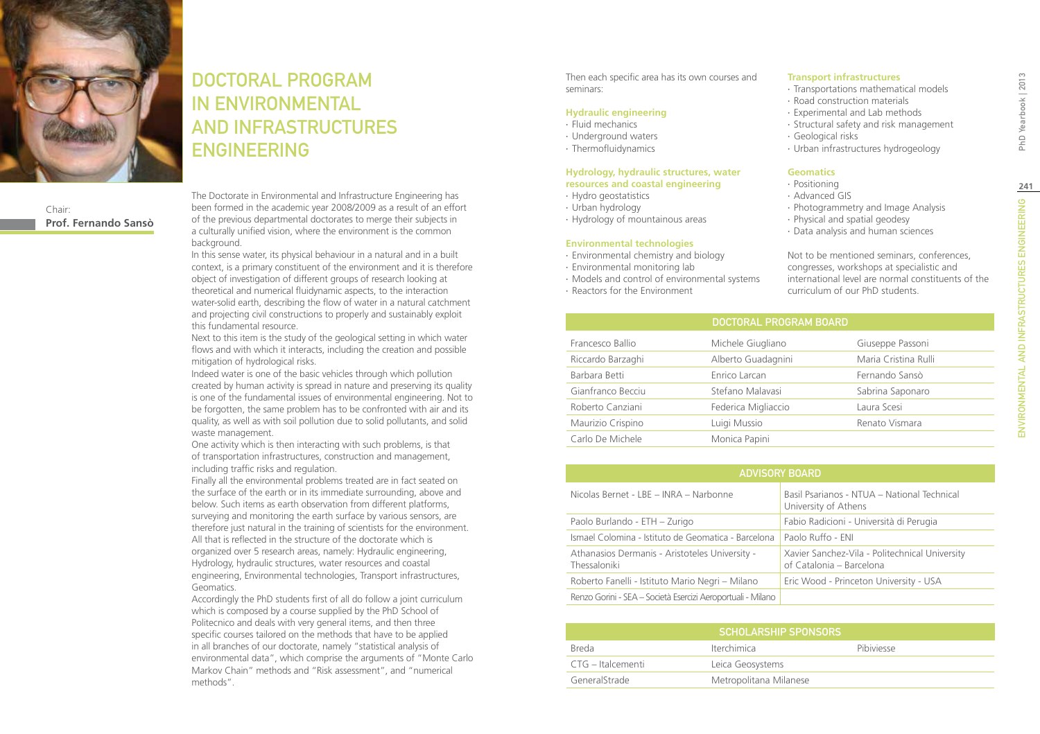

**Prof. Fernando Sansò**

Chair:

# DOCTORAL PROGRAM IN Environmental and Infrastructures **ENGINEERING**

The Doctorate in Environmental and Infrastructure Engineering has been formed in the academic year 2008/2009 as a result of an effort of the previous departmental doctorates to merge their subjects in a culturally unified vision, where the environment is the common background.

In this sense water, its physical behaviour in a natural and in a built context, is a primary constituent of the environment and it is therefore object of investigation of different groups of research looking at theoretical and numerical fluidynamic aspects, to the interaction water-solid earth, describing the flow of water in a natural catchment and projecting civil constructions to properly and sustainably exploit this fundamental resource.

Next to this item is the study of the geological setting in which water flows and with which it interacts, including the creation and possible mitigation of hydrological risks.

Indeed water is one of the basic vehicles through which pollution created by human activity is spread in nature and preserving its quality is one of the fundamental issues of environmental engineering. Not to be forgotten, the same problem has to be confronted with air and its quality, as well as with soil pollution due to solid pollutants, and solid waste management.

One activity which is then interacting with such problems, is that of transportation infrastructures, construction and management, including traffic risks and regulation.

Finally all the environmental problems treated are in fact seated on the surface of the earth or in its immediate surrounding, above and below. Such items as earth observation from different platforms, surveying and monitoring the earth surface by various sensors, are therefore just natural in the training of scientists for the environment. All that is reflected in the structure of the doctorate which is organized over 5 research areas, namely: Hydraulic engineering, Hydrology, hydraulic structures, water resources and coastal engineering, Environmental technologies, Transport infrastructures, Geomatics.

Accordingly the PhD students first of all do follow a joint curriculum which is composed by a course supplied by the PhD School of Politecnico and deals with very general items, and then three specific courses tailored on the methods that have to be applied in all branches of our doctorate, namely "statistical analysis of environmental data", which comprise the arguments of "Monte Carlo Markov Chain" methods and "Risk assessment", and "numerical methods".

Then each specific area has its own courses and seminars:

### **Hydraulic engineering**

- ∙ Fluid mechanics
- ∙ Underground waters
- ∙ Thermofluidynamics

#### **Hydrology, hydraulic structures, water resources and coastal engineering**

- ∙ Hydro geostatistics
- ∙ Urban hydrology
- ∙ Hydrology of mountainous areas

#### **Environmental technologies**

- ∙ Environmental chemistry and biology
- ∙ Environmental monitoring lab
- ∙ Models and control of environmental systems
- ∙ Reactors for the Environment

**Transport infrastructures**

- ∙ Transportations mathematical models
- ∙ Road construction materials
- ∙ Experimental and Lab methods
- ∙ Structural safety and risk management
- ∙ Geological risks
- ∙ Urban infrastructures hydrogeology

### **Geomatics**

- ∙ Positioning
- ∙ Advanced GIS
- ∙ Photogrammetry and Image Analysis
- ∙ Physical and spatial geodesy
- ∙ Data analysis and human sciences

Not to be mentioned seminars, conferences, congresses, workshops at specialistic and international level are normal constituents of the curriculum of our PhD students.

|                   | DOCTORAL PROGRAM BOARD |                      |
|-------------------|------------------------|----------------------|
| Francesco Ballio  | Michele Giugliano      | Giuseppe Passoni     |
| Riccardo Barzaghi | Alberto Guadagnini     | Maria Cristina Rulli |
| Barbara Betti     | Enrico Larcan          | Fernando Sansò       |
| Gianfranco Becciu | Stefano Malavasi       | Sabrina Saponaro     |
| Roberto Canziani  | Federica Migliaccio    | Laura Scesi          |
| Maurizio Crispino | Luigi Mussio           | Renato Vismara       |
| Carlo De Michele  | Monica Papini          |                      |
|                   |                        |                      |

| <b>ADVISORY BOARD</b>                                          |                                                                            |  |  |  |  |  |
|----------------------------------------------------------------|----------------------------------------------------------------------------|--|--|--|--|--|
| Nicolas Bernet - LBE - INRA - Narbonne                         | Basil Psarianos - NTUA - National Technical<br>University of Athens        |  |  |  |  |  |
| Paolo Burlando - ETH - Zurigo                                  | Fabio Radicioni - Università di Perugia                                    |  |  |  |  |  |
| Ismael Colomina - Istituto de Geomatica - Barcelona            | Paolo Ruffo - ENI                                                          |  |  |  |  |  |
| Athanasios Dermanis - Aristoteles University -<br>Thessaloniki | Xavier Sanchez-Vila - Politechnical University<br>of Catalonia - Barcelona |  |  |  |  |  |
| Roberto Fanelli - Istituto Mario Negri – Milano                | Eric Wood - Princeton University - USA                                     |  |  |  |  |  |
| Renzo Gorini - SEA - Società Esercizi Aeroportuali - Milano    |                                                                            |  |  |  |  |  |

| <b>SCHOLARSHIP SPONSORS</b> |                        |            |  |  |
|-----------------------------|------------------------|------------|--|--|
| <b>Breda</b>                | <b>Iterchimica</b>     | Pibiviesse |  |  |
| CTG – Italcementi           | Leica Geosystems       |            |  |  |
| GeneralStrade               | Metropolitana Milanese |            |  |  |

PhD Yearbook | 2013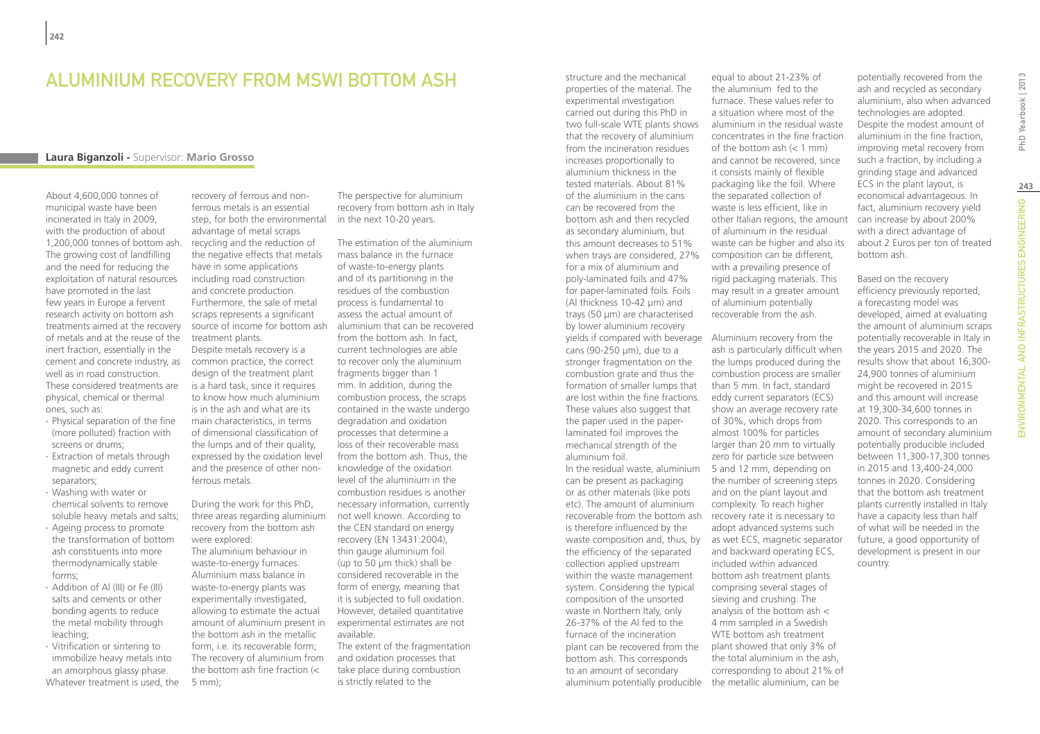## ALUMINIUM RECOVERY FROM MSWI BOTTOM ASH

### **Laura Biganzoli -** Supervisor: **Mario Grosso**

About 4,600,000 tonnes of municipal waste have been incinerated in Italy in 2009, with the production of about 1,200,000 tonnes of bottom ash. The growing cost of landfilling and the need for reducing the exploitation of natural resources have promoted in the last few years in Europe a fervent research activity on bottom ash treatments aimed at the recovery of metals and at the reuse of the inert fraction, essentially in the cement and concrete industry, as well as in road construction. These considered treatments are physical, chemical or thermal ones, such as:

- ∙ Physical separation of the fine (more polluted) fraction with screens or drums;
- ∙ Extraction of metals through magnetic and eddy current separators;
- ∙ Washing with water or chemical solvents to remove soluble heavy metals and salts;
- ∙ Ageing process to promote the transformation of bottom ash constituents into more thermodynamically stable forms;
- ∙ Addition of Al (III) or Fe (III) salts and cements or other bonding agents to reduce the metal mobility through leaching;
- ∙ Vitrification or sintering to immobilize heavy metals into an amorphous glassy phase. Whatever treatment is used, the

recovery of ferrous and nonferrous metals is an essential step, for both the environmental advantage of metal scraps recycling and the reduction of the negative effects that metals have in some applications including road construction and concrete production. Furthermore, the sale of metal scraps represents a significant source of income for bottom ash treatment plants.

Despite metals recovery is a common practice, the correct design of the treatment plant is a hard task, since it requires to know how much aluminium is in the ash and what are its main characteristics, in terms of dimensional classification of the lumps and of their quality, expressed by the oxidation level and the presence of other nonferrous metals.

During the work for this PhD, three areas regarding aluminium recovery from the bottom ash were explored:

The aluminium behaviour in waste-to-energy furnaces. Aluminium mass balance in waste-to-energy plants was experimentally investigated, allowing to estimate the actual amount of aluminium present in the bottom ash in the metallic form, i.e. its recoverable form; The recovery of aluminium from the bottom ash fine fraction (< 5 mm);

The perspective for aluminium recovery from bottom ash in Italy in the next 10-20 years.

The estimation of the aluminium mass balance in the furnace of waste-to-energy plants and of its partitioning in the residues of the combustion process is fundamental to assess the actual amount of aluminium that can be recovered from the bottom ash. In fact, current technologies are able to recover only the aluminium fragments bigger than 1 mm. In addition, during the combustion process, the scraps contained in the waste undergo degradation and oxidation processes that determine a loss of their recoverable mass from the bottom ash. Thus, the knowledge of the oxidation level of the aluminium in the combustion residues is another necessary information, currently not well known. According to the CEN standard on energy recovery (EN 13431:2004), thin gauge aluminium foil (up to 50 µm thick) shall be considered recoverable in the form of energy, meaning that it is subjected to full oxidation. However, detailed quantitative experimental estimates are not available.

The extent of the fragmentation and oxidation processes that take place during combustion is strictly related to the

structure and the mechanical properties of the material. The experimental investigation carried out during this PhD in two full-scale WTE plants shows that the recovery of aluminium from the incineration residues increases proportionally to aluminium thickness in the tested materials. About 81% of the aluminium in the cans can be recovered from the bottom ash and then recycled as secondary aluminium, but this amount decreases to 51% when trays are considered, 27% for a mix of aluminium and poly-laminated foils and 47% for paper-laminated foils. Foils (Al thickness 10-42 μm) and trays (50 μm) are characterised by lower aluminium recovery yields if compared with beverage Aluminium recovery from the cans (90-250 μm), due to a stronger fragmentation on the combustion grate and thus the formation of smaller lumps that are lost within the fine fractions. These values also suggest that the paper used in the paperlaminated foil improves the mechanical strength of the aluminium foil.

In the residual waste, aluminium can be present as packaging or as other materials (like pots etc). The amount of aluminium recoverable from the bottom ash recovery rate it is necessary to is therefore influenced by the the efficiency of the separated collection applied upstream within the waste management system. Considering the typical composition of the unsorted waste in Northern Italy, only 26-37% of the Al fed to the furnace of the incineration plant can be recovered from the bottom ash. This corresponds to an amount of secondary

equal to about 21-23% of the aluminium fed to the furnace. These values refer to a situation where most of the aluminium in the residual waste concentrates in the fine fraction of the bottom ash  $(< 1$  mm) and cannot be recovered, since it consists mainly of flexible packaging like the foil. Where the separated collection of waste is less efficient, like in other Italian regions, the amount of aluminium in the residual waste can be higher and also its composition can be different, with a prevailing presence of rigid packaging materials. This may result in a greater amount of aluminium potentially recoverable from the ash.

waste composition and, thus, by as wet ECS, magnetic separator aluminium potentially producible the metallic aluminium, can be ash is particularly difficult when the lumps produced during the combustion process are smaller than 5 mm. In fact, standard eddy current separators (ECS) show an average recovery rate of 30%, which drops from almost 100% for particles larger than 20 mm to virtually zero for particle size between 5 and 12 mm, depending on the number of screening steps and on the plant layout and complexity. To reach higher adopt advanced systems such and backward operating ECS, included within advanced bottom ash treatment plants comprising several stages of sieving and crushing. The analysis of the bottom ash < 4 mm sampled in a Swedish WTE bottom ash treatment plant showed that only 3% of the total aluminium in the ash, corresponding to about 21% of

potentially recovered from the ash and recycled as secondary aluminium, also when advanced technologies are adopted. Despite the modest amount of aluminium in the fine fraction, improving metal recovery from such a fraction, by including a grinding stage and advanced ECS in the plant layout, is economical advantageous. In fact, aluminium recovery yield can increase by about 200% with a direct advantage of about 2 Euros per ton of treated bottom ash.

Based on the recovery efficiency previously reported, a forecasting model was developed, aimed at evaluating the amount of aluminium scraps potentially recoverable in Italy in the years 2015 and 2020. The results show that about 16,300- 24,900 tonnes of aluminium might be recovered in 2015 and this amount will increase at 19,300-34,600 tonnes in 2020. This corresponds to an amount of secondary aluminium potentially producible included between 11,300-17,300 tonnes in 2015 and 13,400-24,000 tonnes in 2020. Considering that the bottom ash treatment plants currently installed in Italy have a capacity less than half of what will be needed in the future, a good opportunity of development is present in our country.

**243**

ENVIRONMENTAL AND INFRASTRUCTURES ENGINEERING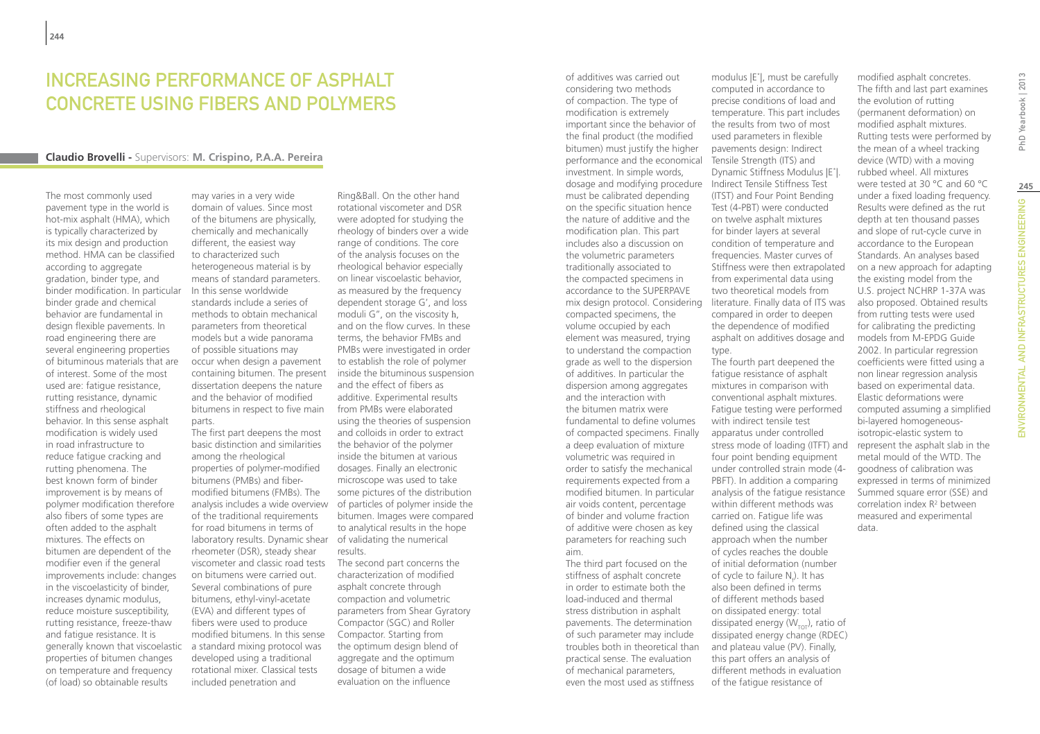## INCREASING PERFORMANCE OF ASPHALT CONCRETE USING FIBERS AND POLYMERS

### **Claudio Brovelli -** Supervisors: **M. Crispino, P.A.A. Pereira**

The most commonly used pavement type in the world is hot-mix asphalt (HMA), which is typically characterized by its mix design and production method. HMA can be classified according to aggregate gradation, binder type, and binder modification. In particular binder grade and chemical behavior are fundamental in design flexible pavements. In road engineering there are several engineering properties of bituminous materials that are of interest. Some of the most used are: fatigue resistance, rutting resistance, dynamic stiffness and rheological behavior. In this sense asphalt modification is widely used in road infrastructure to reduce fatigue cracking and rutting phenomena. The best known form of binder improvement is by means of polymer modification therefore also fibers of some types are often added to the asphalt mixtures. The effects on bitumen are dependent of the modifier even if the general improvements include: changes in the viscoelasticity of binder, increases dynamic modulus, reduce moisture susceptibility, rutting resistance, freeze-thaw and fatigue resistance. It is generally known that viscoelastic properties of bitumen changes on temperature and frequency (of load) so obtainable results

may varies in a very wide domain of values. Since most of the bitumens are physically, chemically and mechanically different, the easiest way to characterized such heterogeneous material is by means of standard parameters. In this sense worldwide standards include a series of methods to obtain mechanical parameters from theoretical models but a wide panorama of possible situations may occur when design a pavement containing bitumen. The present dissertation deepens the nature and the behavior of modified bitumens in respect to five main parts.

The first part deepens the most basic distinction and similarities among the rheological properties of polymer-modified bitumens (PMBs) and fibermodified bitumens (FMBs). The of the traditional requirements for road bitumens in terms of laboratory results. Dynamic shear of validating the numerical rheometer (DSR), steady shear viscometer and classic road tests on bitumens were carried out. Several combinations of pure bitumens, ethyl-vinyl-acetate (EVA) and different types of fibers were used to produce modified bitumens. In this sense a standard mixing protocol was developed using a traditional rotational mixer. Classical tests included penetration and

analysis includes a wide overview of particles of polymer inside the Ring&Ball. On the other hand rotational viscometer and DSR were adopted for studying the rheology of binders over a wide range of conditions. The core of the analysis focuses on the rheological behavior especially on linear viscoelastic behavior, as measured by the frequency dependent storage G', and loss moduli G'', on the viscosity h, and on the flow curves. In these terms, the behavior FMBs and PMBs were investigated in order to establish the role of polymer inside the bituminous suspension and the effect of fibers as additive. Experimental results from PMBs were elaborated using the theories of suspension and colloids in order to extract the behavior of the polymer inside the bitumen at various dosages. Finally an electronic microscope was used to take some pictures of the distribution bitumen. Images were compared to analytical results in the hope results.

The second part concerns the characterization of modified asphalt concrete through compaction and volumetric parameters from Shear Gyratory Compactor (SGC) and Roller Compactor. Starting from the optimum design blend of aggregate and the optimum dosage of bitumen a wide evaluation on the influence

of additives was carried out considering two methods of compaction. The type of modification is extremely important since the behavior of the final product (the modified bitumen) must justify the higher performance and the economical Tensile Strength (ITS) and investment. In simple words, dosage and modifying procedure Indirect Tensile Stiffness Test must be calibrated depending on the specific situation hence the nature of additive and the modification plan. This part includes also a discussion on the volumetric parameters traditionally associated to the compacted specimens in accordance to the SUPERPAVE compacted specimens, the volume occupied by each element was measured, trying to understand the compaction grade as well to the dispersion of additives. In particular the dispersion among aggregates and the interaction with the bitumen matrix were fundamental to define volumes of compacted specimens. Finally a deep evaluation of mixture volumetric was required in order to satisfy the mechanical requirements expected from a modified bitumen. In particular air voids content, percentage of binder and volume fraction of additive were chosen as key parameters for reaching such aim.

The third part focused on the stiffness of asphalt concrete in order to estimate both the load-induced and thermal stress distribution in asphalt pavements. The determination of such parameter may include troubles both in theoretical than practical sense. The evaluation of mechanical parameters, even the most used as stiffness

mix design protocol. Considering literature. Finally data of ITS was modulus |E\* |, must be carefully computed in accordance to precise conditions of load and temperature. This part includes the results from two of most used parameters in flexible pavements design: Indirect Dynamic Stiffness Modulus |E\* |. (ITST) and Four Point Bending Test (4-PBT) were conducted on twelve asphalt mixtures for binder layers at several condition of temperature and frequencies. Master curves of Stiffness were then extrapolated from experimental data using two theoretical models from compared in order to deepen the dependence of modified asphalt on additives dosage and type.

> The fourth part deepened the fatigue resistance of asphalt mixtures in comparison with conventional asphalt mixtures. Fatigue testing were performed with indirect tensile test apparatus under controlled stress mode of loading (ITFT) and four point bending equipment under controlled strain mode (4- PBFT). In addition a comparing analysis of the fatigue resistance within different methods was carried on. Fatigue life was defined using the classical approach when the number of cycles reaches the double of initial deformation (number of cycle to failure  $N_f$ ). It has also been defined in terms of different methods based on dissipated energy: total dissipated energy  $(W_{\text{tot}})$ , ratio of dissipated energy change (RDEC) and plateau value (PV). Finally, this part offers an analysis of different methods in evaluation of the fatigue resistance of

modified asphalt concretes. The fifth and last part examines the evolution of rutting (permanent deformation) on modified asphalt mixtures. Rutting tests were performed by the mean of a wheel tracking device (WTD) with a moving rubbed wheel. All mixtures were tested at 30 °C and 60 °C under a fixed loading frequency. Results were defined as the rut depth at ten thousand passes and slope of rut-cycle curve in accordance to the European Standards. An analyses based on a new approach for adapting the existing model from the U.S. project NCHRP 1-37A was also proposed. Obtained results from rutting tests were used for calibrating the predicting models from M-EPDG Guide 2002. In particular regression coefficients were fitted using a non linear regression analysis based on experimental data. Elastic deformations were computed assuming a simplified bi-layered homogeneousisotropic-elastic system to represent the asphalt slab in the metal mould of the WTD. The goodness of calibration was expressed in terms of minimized Summed square error (SSE) and correlation index R2 between measured and experimental data.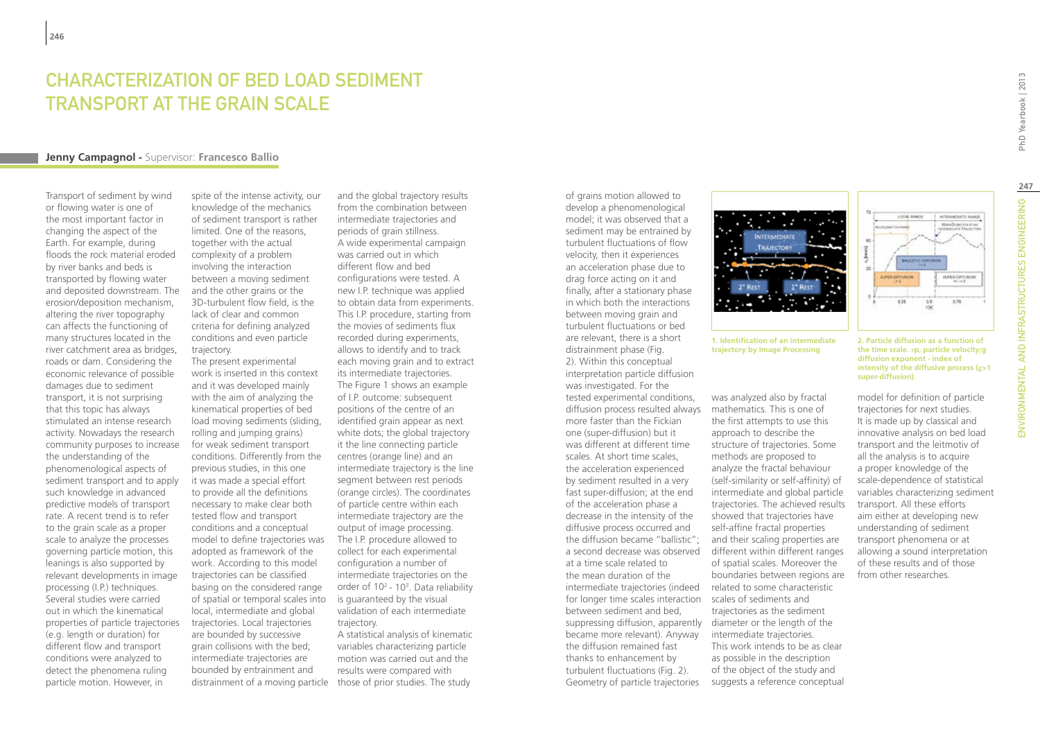## CHARACTERIZATION OF BED LOAD SEDIMENT transport at the grain scale

### **Jenny Campagnol -** Supervisor: **Francesco Ballio**

Transport of sediment by wind or flowing water is one of the most important factor in changing the aspect of the Earth. For example, during floods the rock material eroded by river banks and beds is transported by flowing water and deposited downstream. The erosion/deposition mechanism, altering the river topography can affects the functioning of many structures located in the river catchment area as bridges, roads or dam. Considering the economic relevance of possible damages due to sediment transport, it is not surprising that this topic has always stimulated an intense research activity. Nowadays the research community purposes to increase the understanding of the phenomenological aspects of sediment transport and to apply such knowledge in advanced predictive models of transport rate. A recent trend is to refer to the grain scale as a proper scale to analyze the processes governing particle motion, this leanings is also supported by relevant developments in image processing (I.P.) techniques. Several studies were carried out in which the kinematical properties of particle trajectories (e.g. length or duration) for different flow and transport conditions were analyzed to detect the phenomena ruling particle motion. However, in

spite of the intense activity, our knowledge of the mechanics of sediment transport is rather limited. One of the reasons, together with the actual complexity of a problem involving the interaction between a moving sediment and the other grains or the 3D-turbulent flow field, is the lack of clear and common criteria for defining analyzed conditions and even particle trajectory.

The present experimental work is inserted in this context and it was developed mainly with the aim of analyzing the kinematical properties of bed load moving sediments (sliding, rolling and jumping grains) for weak sediment transport conditions. Differently from the previous studies, in this one it was made a special effort to provide all the definitions necessary to make clear both tested flow and transport conditions and a conceptual model to define trajectories was adopted as framework of the work. According to this model trajectories can be classified basing on the considered range of spatial or temporal scales into local, intermediate and global trajectories. Local trajectories are bounded by successive grain collisions with the bed; intermediate trajectories are bounded by entrainment and distrainment of a moving particle

and the global trajectory results from the combination between intermediate trajectories and periods of grain stillness. A wide experimental campaign was carried out in which different flow and bed configurations were tested. A new I.P. technique was applied to obtain data from experiments. This I.P. procedure, starting from the movies of sediments flux recorded during experiments, allows to identify and to track each moving grain and to extract its intermediate trajectories. The Figure 1 shows an example of I.P. outcome: subsequent positions of the centre of an identified grain appear as next white dots; the global trajectory it the line connecting particle centres (orange line) and an intermediate trajectory is the line segment between rest periods (orange circles). The coordinates of particle centre within each intermediate trajectory are the output of image processing. The I.P. procedure allowed to collect for each experimental configuration a number of intermediate trajectories on the order of 10<sup>2</sup> - 10<sup>3</sup>. Data reliability is guaranteed by the visual validation of each intermediate trajectory. A statistical analysis of kinematic

variables characterizing particle motion was carried out and the results were compared with those of prior studies. The study of grains motion allowed to develop a phenomenological model; it was observed that a sediment may be entrained by turbulent fluctuations of flow velocity, then it experiences an acceleration phase due to drag force acting on it and finally, after a stationary phase in which both the interactions between moving grain and turbulent fluctuations or bed are relevant, there is a short distrainment phase (Fig. 2). Within this conceptual interpretation particle diffusion was investigated. For the tested experimental conditions, diffusion process resulted always mathematics. This is one of more faster than the Fickian one (super-diffusion) but it was different at different time scales. At short time scales, the acceleration experienced by sediment resulted in a very fast super-diffusion; at the end of the acceleration phase a decrease in the intensity of the diffusive process occurred and the diffusion became "ballistic"; a second decrease was observed at a time scale related to the mean duration of the intermediate trajectories (indeed for longer time scales interaction scales of sediments and between sediment and bed, suppressing diffusion, apparently diameter or the length of the became more relevant). Anyway the diffusion remained fast thanks to enhancement by turbulent fluctuations (Fig. 2). Geometry of particle trajectories



**1. Identification of an intermediate trajectory by Image Processing**

was analyzed also by fractal the first attempts to use this approach to describe the structure of trajectories. Some methods are proposed to analyze the fractal behaviour (self-similarity or self-affinity) of intermediate and global particle trajectories. The achieved results showed that trajectories have self-affine fractal properties and their scaling properties are different within different ranges of spatial scales. Moreover the boundaries between regions are related to some characteristic trajectories as the sediment intermediate trajectories. This work intends to be as clear as possible in the description of the object of the study and suggests a reference conceptual

**247**

**2. Particle diffusion as a function of the time scale.** *v***p, particle velocity;g diffusion exponent - index of intensity of the diffusive process (g>1 super-diffusion).**

 $0.5$ 

LOCAL AMASE

**EXPERIENT LIBERS** 

 $0.28$ 

**BALIFO DEFINIT** 

**INTERMEDIATE GANGE** 

**ILFERCIFICADE** 

 $6.76$ 

model for definition of particle trajectories for next studies. It is made up by classical and innovative analysis on bed load transport and the leitmotiv of all the analysis is to acquire a proper knowledge of the scale-dependence of statistical variables characterizing sediment transport. All these efforts aim either at developing new understanding of sediment transport phenomena or at allowing a sound interpretation of these results and of those from other researches.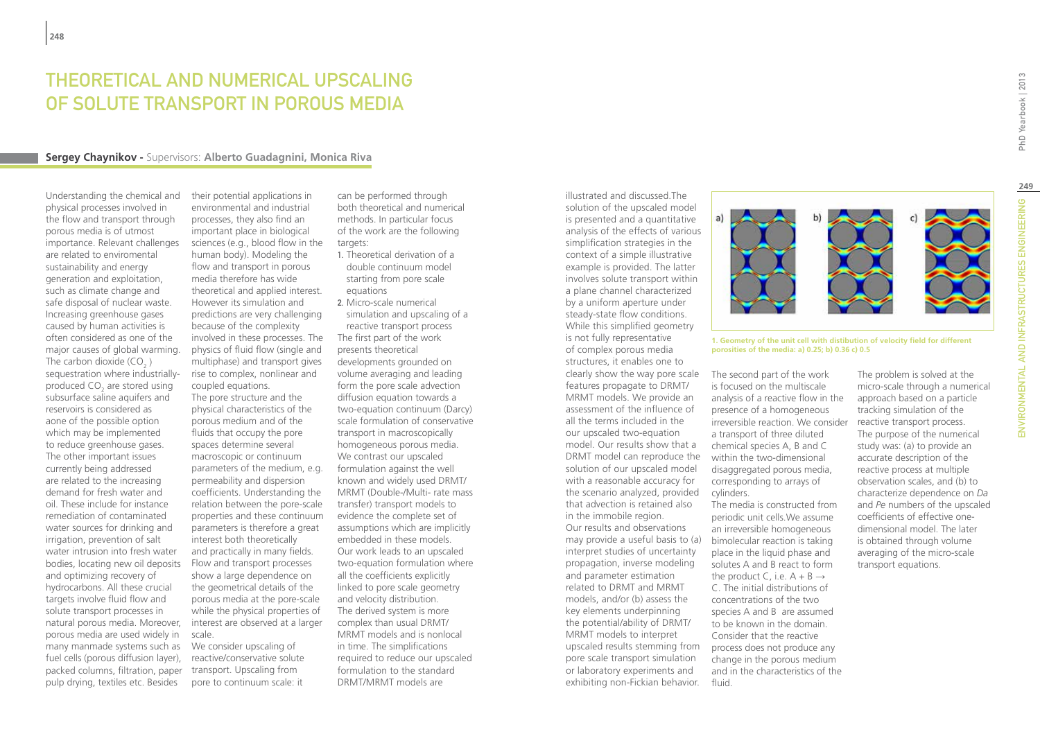# THEORETICAL AND NUMERICAL UPSCALING OF SOLUTE TRANSPORT IN POROUS MEDIA

### **Sergey Chaynikov -** Supervisors: **Alberto Guadagnini, Monica Riva**

Understanding the chemical and physical processes involved in the flow and transport through porous media is of utmost importance. Relevant challenges are related to enviromental sustainability and energy generation and exploitation, such as climate change and safe disposal of nuclear waste. Increasing greenhouse gases caused by human activities is often considered as one of the major causes of global warming. The carbon dioxide (CO<sub>2</sub>) sequestration where industriallyproduced  $CO<sub>2</sub>$  are stored using subsurface saline aquifers and reservoirs is considered as aone of the possible option which may be implemented to reduce greenhouse gases. The other important issues currently being addressed are related to the increasing demand for fresh water and oil. These include for instance remediation of contaminated water sources for drinking and irrigation, prevention of salt water intrusion into fresh water bodies, locating new oil deposits and optimizing recovery of hydrocarbons. All these crucial targets involve fluid flow and solute transport processes in natural porous media. Moreover, porous media are used widely in many manmade systems such as fuel cells (porous diffusion layer), packed columns, filtration, paper pulp drying, textiles etc. Besides

their potential applications in environmental and industrial processes, they also find an important place in biological sciences (e.g., blood flow in the human body). Modeling the flow and transport in porous media therefore has wide theoretical and applied interest. However its simulation and predictions are very challenging because of the complexity involved in these processes. The physics of fluid flow (single and multiphase) and transport gives rise to complex, nonlinear and coupled equations. The pore structure and the physical characteristics of the porous medium and of the fluids that occupy the pore spaces determine several macroscopic or continuum parameters of the medium, e.g. permeability and dispersion coefficients. Understanding the relation between the pore-scale properties and these continuum parameters is therefore a great interest both theoretically and practically in many fields. Flow and transport processes show a large dependence on the geometrical details of the porous media at the pore-scale while the physical properties of interest are observed at a larger scale. We consider upscaling of reactive/conservative solute

transport. Upscaling from pore to continuum scale: it

can be performed through both theoretical and numerical methods. In particular focus of the work are the following targets:

- 1. Theoretical derivation of a double continuum model starting from pore scale equations
- 2. Micro-scale numerical

simulation and upscaling of a reactive transport process The first part of the work presents theoretical developments grounded on volume averaging and leading form the pore scale advection diffusion equation towards a two-equation continuum (Darcy) scale formulation of conservative transport in macroscopically homogeneous porous media. We contrast our upscaled formulation against the well known and widely used DRMT/ MRMT (Double-/Multi- rate mass transfer) transport models to evidence the complete set of assumptions which are implicitly embedded in these models. Our work leads to an upscaled two-equation formulation where all the coefficients explicitly linked to pore scale geometry and velocity distribution. The derived system is more complex than usual DRMT/ MRMT models and is nonlocal in time. The simplifications required to reduce our upscaled formulation to the standard DRMT/MRMT models are

illustrated and discussed.The solution of the upscaled model is presented and a quantitative analysis of the effects of various simplification strategies in the context of a simple illustrative example is provided. The latter involves solute transport within a plane channel characterized by a uniform aperture under steady-state flow conditions. While this simplified geometry is not fully representative of complex porous media structures, it enables one to clearly show the way pore scale features propagate to DRMT/ MRMT models. We provide an assessment of the influence of all the terms included in the our upscaled two-equation model. Our results show that a DRMT model can reproduce the within the two-dimensional solution of our upscaled model with a reasonable accuracy for the scenario analyzed, provided that advection is retained also in the immobile region. Our results and observations may provide a useful basis to (a) bimolecular reaction is taking interpret studies of uncertainty propagation, inverse modeling and parameter estimation related to DRMT and MRMT models, and/or (b) assess the key elements underpinning the potential/ability of DRMT/ MRMT models to interpret upscaled results stemming from process does not produce any pore scale transport simulation

or laboratory experiments and exhibiting non-Fickian behavior.



**1. Geometry of the unit cell with distibution of velocity field for different porosities of the media: a) 0.25; b) 0.36 c) 0.5** 

The second part of the work is focused on the multiscale analysis of a reactive flow in the presence of a homogeneous irreversible reaction. We consider a transport of three diluted chemical species A, B and C disaggregated porous media, corresponding to arrays of cylinders.

The media is constructed from periodic unit cells.We assume an irreversible homogeneous place in the liquid phase and solutes A and B react to form the product C, i.e.  $A + B \rightarrow$ C. The initial distributions of concentrations of the two species A and B are assumed to be known in the domain. Consider that the reactive change in the porous medium and in the characteristics of the fluid.

The problem is solved at the micro-scale through a numerical approach based on a particle tracking simulation of the reactive transport process. The purpose of the numerical study was: (a) to provide an accurate description of the reactive process at multiple observation scales, and (b) to characterize dependence on *Da* and *Pe* numbers of the upscaled coefficients of effective onedimensional model. The later is obtained through volume averaging of the micro-scale transport equations.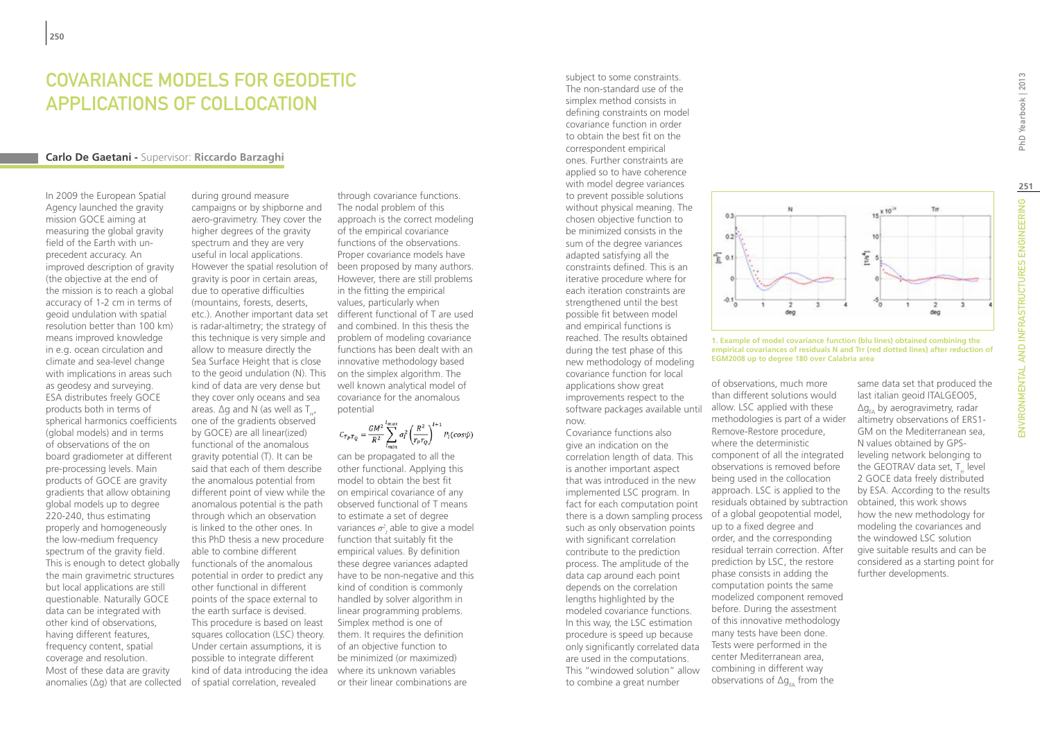## Covariance models for geodetic applications of collocation

### **Carlo De Gaetani -** Supervisor: **Riccardo Barzaghi**

In 2009 the European Spatial Agency launched the gravity mission GOCE aiming at measuring the global gravity field of the Earth with unprecedent accuracy. An improved description of gravity (the objective at the end of the mission is to reach a global accuracy of 1-2 cm in terms of geoid undulation with spatial resolution better than 100 km) means improved knowledge in e.g. ocean circulation and climate and sea-level change with implications in areas such as geodesy and surveying. ESA distributes freely GOCE products both in terms of spherical harmonics coefficients (global models) and in terms of observations of the on board gradiometer at different pre-processing levels. Main products of GOCE are gravity gradients that allow obtaining global models up to degree 220-240, thus estimating properly and homogeneously the low-medium frequency spectrum of the gravity field. This is enough to detect globally the main gravimetric structures but local applications are still questionable. Naturally GOCE data can be integrated with other kind of observations, having different features, frequency content, spatial coverage and resolution. Most of these data are gravity anomalies (∆g) that are collected

during ground measure campaigns or by shipborne and aero-gravimetry. They cover the higher degrees of the gravity spectrum and they are very useful in local applications. However the spatial resolution of gravity is poor in certain areas, due to operative difficulties (mountains, forests, deserts, etc.). Another important data set different functional of T are used is radar-altimetry; the strategy of this technique is very simple and allow to measure directly the Sea Surface Height that is close to the geoid undulation (N). This kind of data are very dense but they cover only oceans and sea areas.  $\Delta q$  and N (as well as T<sub>rr</sub>, one of the gradients observed by GOCE) are all linear(ized) functional of the anomalous gravity potential (T). It can be said that each of them describe the anomalous potential from different point of view while the anomalous potential is the path through which an observation is linked to the other ones. In this PhD thesis a new procedure able to combine different functionals of the anomalous potential in order to predict any other functional in different points of the space external to the earth surface is devised. This procedure is based on least squares collocation (LSC) theory. Under certain assumptions, it is possible to integrate different kind of data introducing the idea where its unknown variables of spatial correlation, revealed

through covariance functions. The nodal problem of this approach is the correct modeling of the empirical covariance functions of the observations. Proper covariance models have been proposed by many authors. However, there are still problems in the fitting the empirical values, particularly when and combined. In this thesis the problem of modeling covariance functions has been dealt with an innovative methodology based on the simplex algorithm. The well known analytical model of covariance for the anomalous potential

 $C_{T_pT_Q}=\frac{GM^2}{R^2}\sum_{l}^{l_{max}}\sigma_l^2\left(\frac{R^2}{r_pr_Q}\right)^{l+1}P_l(cos\psi)$ 

can be propagated to all the other functional. Applying this model to obtain the best fit on empirical covariance of any observed functional of T means to estimate a set of degree variances  $\sigma^2$ , able to give a model *l* function that suitably fit the empirical values. By definition these degree variances adapted have to be non-negative and this kind of condition is commonly handled by solver algorithm in linear programming problems. Simplex method is one of them. It requires the definition of an objective function to be minimized (or maximized) or their linear combinations are

subject to some constraints. The non-standard use of the simplex method consists in defining constraints on model covariance function in order to obtain the best fit on the correspondent empirical ones. Further constraints are applied so to have coherence with model degree variances to prevent possible solutions without physical meaning. The chosen objective function to be minimized consists in the sum of the degree variances adapted satisfying all the constraints defined. This is an iterative procedure where for each iteration constraints are strengthened until the best possible fit between model and empirical functions is reached. The results obtained during the test phase of this new methodology of modeling covariance function for local applications show great improvements respect to the software packages available until now.

Covariance functions also give an indication on the correlation length of data. This is another important aspect that was introduced in the new implemented LSC program. In fact for each computation point there is a down sampling process of a global geopotential model, such as only observation points with significant correlation contribute to the prediction process. The amplitude of the data cap around each point depends on the correlation lengths highlighted by the modeled covariance functions. In this way, the LSC estimation procedure is speed up because only significantly correlated data are used in the computations. This "windowed solution" allow to combine a great number



**1. Example of model covariance function (blu lines) obtained combining the empirical covariances of residuals N and Trr (red dotted lines) after reduction of EGM2008 up to degree 180 over Calabria area**

of observations, much more than different solutions would allow. LSC applied with these methodologies is part of a wider Remove-Restore procedure, where the deterministic component of all the integrated observations is removed before being used in the collocation approach. LSC is applied to the residuals obtained by subtraction up to a fixed degree and order, and the corresponding residual terrain correction. After prediction by LSC, the restore phase consists in adding the computation points the same modelized component removed before. During the assestment of this innovative methodology many tests have been done. Tests were performed in the center Mediterranean area, combining in different way observations of  $\Delta g_{\epsilon A}$  from the

same data set that produced the last italian geoid ITALGEO05, ∆g<sub>FA</sub> by aerogravimetry, radar altimetry observations of ERS1- GM on the Mediterranean sea, N values obtained by GPSleveling network belonging to the GEOTRAV data set.  $T$  level 2 GOCE data freely distributed by ESA. According to the results obtained, this work shows how the new methodology for modeling the covariances and the windowed LSC solution give suitable results and can be considered as a starting point for further developments.

**251**

ENVIRONMENTAL AND INFRASTRUCTURES ENGINEERING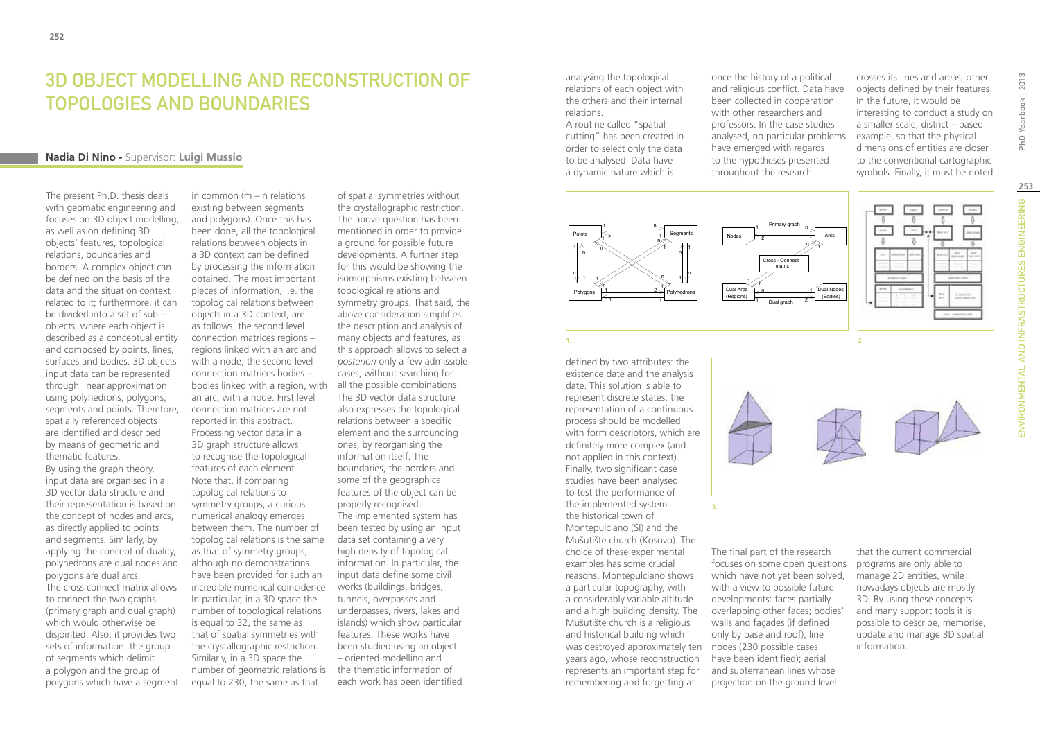# 3D Object Modelling and Reconstruction of Topologies and Boundaries

### **Nadia Di Nino -** Supervisor: **Luigi Mussio**

The present Ph.D. thesis deals with geomatic engineering and focuses on 3D object modelling, as well as on defining 3D objects' features, topological relations, boundaries and borders. A complex object can be defined on the basis of the data and the situation context related to it; furthermore, it can be divided into a set of sub – objects, where each object is described as a conceptual entity and composed by points, lines, surfaces and bodies. 3D objects input data can be represented through linear approximation using polyhedrons, polygons, segments and points. Therefore, spatially referenced objects are identified and described by means of geometric and thematic features. By using the graph theory, input data are organised in a 3D vector data structure and their representation is based on the concept of nodes and arcs, as directly applied to points and segments. Similarly, by applying the concept of duality, polyhedrons are dual nodes and polygons are dual arcs. The cross connect matrix allows to connect the two graphs (primary graph and dual graph) which would otherwise be disjointed. Also, it provides two sets of information: the group of segments which delimit a polygon and the group of polygons which have a segment

in common (m – n relations existing between segments and polygons). Once this has been done, all the topological relations between objects in a 3D context can be defined by processing the information obtained. The most important pieces of information, i.e. the topological relations between objects in a 3D context, are as follows: the second level connection matrices regions – regions linked with an arc and with a node; the second level connection matrices bodies – bodies linked with a region, with all the possible combinations. an arc, with a node. First level connection matrices are not reported in this abstract. Processing vector data in a 3D graph structure allows to recognise the topological features of each element. Note that, if comparing topological relations to symmetry groups, a curious numerical analogy emerges between them. The number of topological relations is the same as that of symmetry groups, although no demonstrations have been provided for such an incredible numerical coincidence. In particular, in a 3D space the number of topological relations is equal to 32, the same as that of spatial symmetries with the crystallographic restriction. Similarly, in a 3D space the number of geometric relations is the thematic information of equal to 230, the same as that

of spatial symmetries without the crystallographic restriction. The above question has been mentioned in order to provide a ground for possible future developments. A further step for this would be showing the isomorphisms existing between topological relations and symmetry groups. That said, the above consideration simplifies the description and analysis of many objects and features, as this approach allows to select *a posteriori* only a few admissible cases, without searching for The 3D vector data structure also expresses the topological relations between a specific element and the surrounding ones, by reorganising the information itself. The boundaries, the borders and some of the geographical features of the object can be properly recognised. The implemented system has been tested by using an input data set containing a very high density of topological information. In particular, the input data define some civil works (buildings, bridges, tunnels, overpasses and underpasses, rivers, lakes and islands) which show particular features. These works have been studied using an object – oriented modelling and each work has been identified

analysing the topological relations of each object with the others and their internal relations.

A routine called "spatial cutting" has been created in order to select only the data to be analysed. Data have a dynamic nature which is

1

n

**1.**

defined by two attributes: the

date. This solution is able to represent discrete states; the

process should be modelled

definitely more complex (and not applied in this context). Finally, two significant case studies have been analysed to test the performance of the implemented system: the historical town of Montepulciano (SI) and the Mušutište church (Kosovo). The choice of these experimental examples has some crucial reasons. Montepulciano shows a particular topography, with a considerably variable altitude and a high building density. The Mušutište church is a religious and historical building which

years ago, whose reconstruction represents an important step for remembering and forgetting at

once the history of a political and religious conflict. Data have been collected in cooperation with other researchers and professors. In the case studies analysed, no particular problems have emerged with regards to the hypotheses presented throughout the research.

crosses its lines and areas; other objects defined by their features. In the future, it would be interesting to conduct a study on a smaller scale, district – based example, so that the physical dimensions of entities are closer to the conventional cartographic symbols. Finally, it must be noted



existence date and the analysis representation of a continuous with form descriptors, which are

was destroyed approximately ten nodes (230 possible cases The final part of the research focuses on some open questions which have not yet been solved, with a view to possible future developments: faces partially overlapping other faces; bodies' walls and façades (if defined only by base and roof); line have been identified); aerial and subterranean lines whose projection on the ground level

**3.**

that the current commercial programs are only able to manage 2D entities, while nowadays objects are mostly 3D. By using these concepts and many support tools it is possible to describe, memorise, update and manage 3D spatial information.

**253**Environmental and Infrastructures Engineering PhD Yearbook | 2013

Yearbook | 2013

PhD)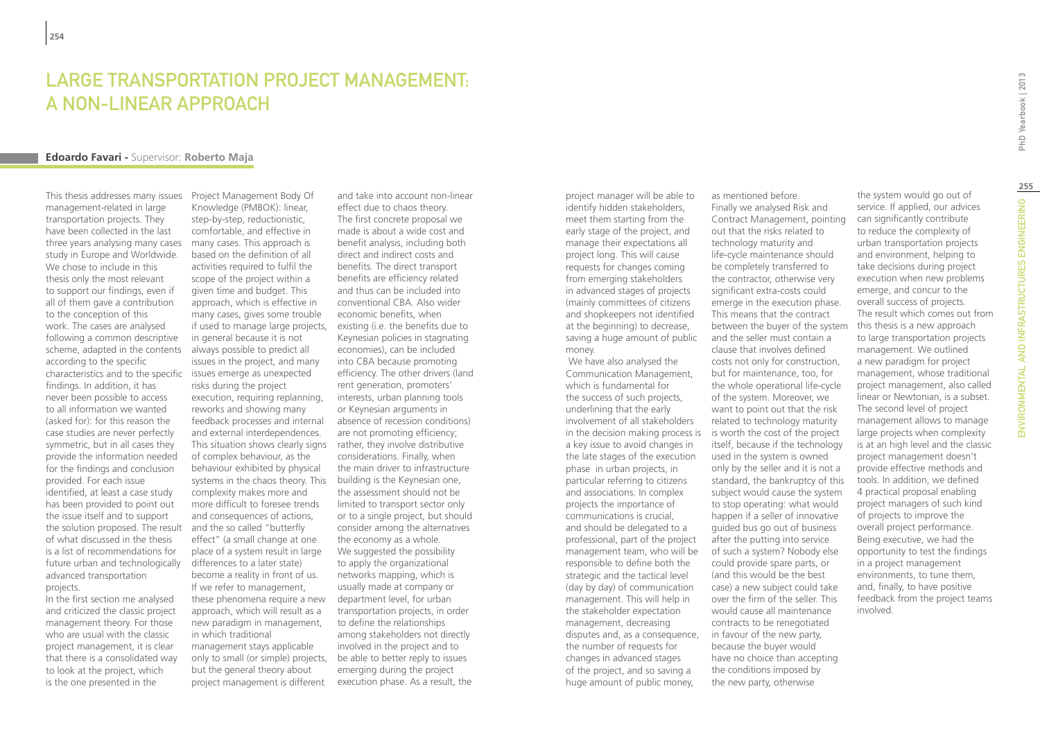## Large Transportation Project Management: a non-linear approach

### **Edoardo Favari -** Supervisor: **Roberto Maja**

This thesis addresses many issues management-related in large transportation projects. They have been collected in the last three years analysing many cases study in Europe and Worldwide. We chose to include in this thesis only the most relevant to support our findings, even if all of them gave a contribution to the conception of this work. The cases are analysed following a common descriptive scheme, adapted in the contents according to the specific characteristics and to the specific findings. In addition, it has never been possible to access to all information we wanted (asked for): for this reason the case studies are never perfectly symmetric, but in all cases they provide the information needed for the findings and conclusion provided. For each issue identified, at least a case study has been provided to point out the issue itself and to support the solution proposed. The result of what discussed in the thesis is a list of recommendations for future urban and technologically advanced transportation projects.

In the first section me analysed and criticized the classic project management theory. For those who are usual with the classic project management, it is clear that there is a consolidated way to look at the project, which is the one presented in the

Project Management Body Of Knowledge (PMBOK): linear, step-by-step, reductionistic, comfortable, and effective in many cases. This approach is based on the definition of all activities required to fulfil the scope of the project within a given time and budget. This approach, which is effective in many cases, gives some trouble if used to manage large projects, in general because it is not always possible to predict all issues in the project, and many issues emerge as unexpected risks during the project execution, requiring replanning, reworks and showing many feedback processes and internal and external interdependences. This situation shows clearly signs rather, they involve distributive of complex behaviour, as the behaviour exhibited by physical systems in the chaos theory. This complexity makes more and more difficult to foresee trends and consequences of actions, and the so called "butterfly effect" (a small change at one place of a system result in large differences to a later state) become a reality in front of us. If we refer to management, these phenomena require a new approach, which will result as a new paradigm in management, in which traditional management stays applicable

only to small (or simple) projects, but the general theory about project management is different

and take into account non-linear effect due to chaos theory. The first concrete proposal we made is about a wide cost and benefit analysis, including both direct and indirect costs and benefits. The direct transport benefits are efficiency related and thus can be included into conventional CBA. Also wider economic benefits, when existing (i.e. the benefits due to Keynesian policies in stagnating economies), can be included into CBA because promoting efficiency. The other drivers (land rent generation, promoters' interests, urban planning tools or Keynesian arguments in absence of recession conditions) are not promoting efficiency; considerations. Finally, when the main driver to infrastructure building is the Keynesian one, the assessment should not be limited to transport sector only or to a single project, but should consider among the alternatives the economy as a whole. We suggested the possibility to apply the organizational networks mapping, which is usually made at company or department level, for urban transportation projects, in order to define the relationships among stakeholders not directly involved in the project and to be able to better reply to issues emerging during the project execution phase. As a result, the

project manager will be able to identify hidden stakeholders, meet them starting from the early stage of the project, and manage their expectations all project long. This will cause requests for changes coming from emerging stakeholders in advanced stages of projects (mainly committees of citizens and shopkeepers not identified at the beginning) to decrease, saving a huge amount of public money.

 We have also analysed the Communication Management, which is fundamental for the success of such projects, underlining that the early involvement of all stakeholders in the decision making process is a key issue to avoid changes in the late stages of the execution phase in urban projects, in particular referring to citizens and associations. In complex projects the importance of communications is crucial, and should be delegated to a professional, part of the project management team, who will be responsible to define both the strategic and the tactical level (day by day) of communication management. This will help in the stakeholder expectation management, decreasing disputes and, as a consequence, the number of requests for changes in advanced stages of the project, and so saving a huge amount of public money,

as mentioned before. Finally we analysed Risk and Contract Management, pointing out that the risks related to technology maturity and life-cycle maintenance should be completely transferred to the contractor, otherwise very significant extra-costs could emerge in the execution phase. This means that the contract between the buyer of the system and the seller must contain a clause that involves defined costs not only for construction, but for maintenance, too, for the whole operational life-cycle of the system. Moreover, we want to point out that the risk related to technology maturity is worth the cost of the project itself, because if the technology used in the system is owned only by the seller and it is not a standard, the bankruptcy of this subject would cause the system to stop operating: what would happen if a seller of innovative guided bus go out of business after the putting into service of such a system? Nobody else could provide spare parts, or (and this would be the best case) a new subject could take over the firm of the seller. This would cause all maintenance contracts to be renegotiated in favour of the new party, because the buyer would have no choice than accepting the conditions imposed by the new party, otherwise

the system would go out of service. If applied, our advices can significantly contribute to reduce the complexity of urban transportation projects and environment, helping to take decisions during project execution when new problems emerge, and concur to the overall success of projects. The result which comes out from this thesis is a new approach to large transportation projects management. We outlined a new paradigm for project management, whose traditional project management, also called linear or Newtonian, is a subset. The second level of project management allows to manage large projects when complexity is at an high level and the classic project management doesn't provide effective methods and tools. In addition, we defined 4 practical proposal enabling project managers of such kind of projects to improve the overall project performance. Being executive, we had the opportunity to test the findings in a project management environments, to tune them, and, finally, to have positive

feedback from the project teams

involved.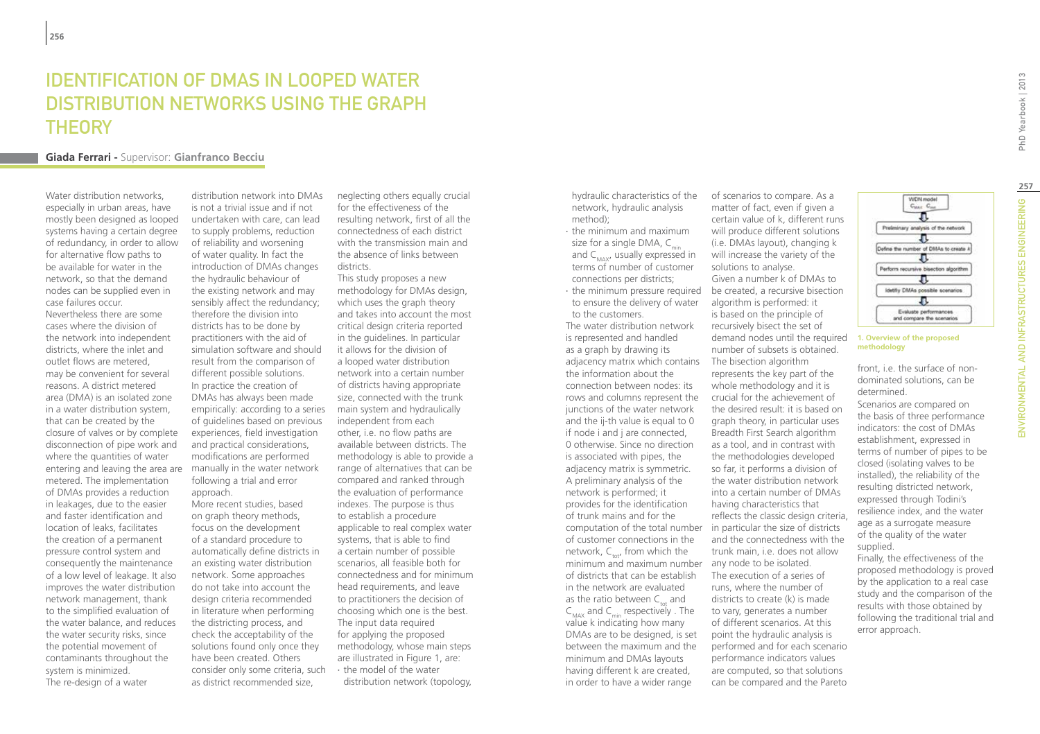# Identification of DMAs in looped water distribution networks using the graph **THEORY**

### **Giada Ferrari -** Supervisor: **Gianfranco Becciu**

Water distribution networks especially in urban areas, have mostly been designed as looped systems having a certain degree of redundancy, in order to allow for alternative flow paths to be available for water in the network, so that the demand nodes can be supplied even in case failures occur. Nevertheless there are some cases where the division of the network into independent districts, where the inlet and outlet flows are metered, may be convenient for several reasons. A district metered area (DMA) is an isolated zone in a water distribution system, that can be created by the closure of valves or by complete disconnection of pipe work and where the quantities of water entering and leaving the area are metered. The implementation of DMAs provides a reduction in leakages, due to the easier and faster identification and location of leaks, facilitates the creation of a permanent pressure control system and consequently the maintenance of a low level of leakage. It also improves the water distribution network management, thank to the simplified evaluation of the water balance, and reduces the water security risks, since the potential movement of contaminants throughout the system is minimized. The re-design of a water

distribution network into DMAs is not a trivial issue and if not undertaken with care, can lead to supply problems, reduction of reliability and worsening of water quality. In fact the introduction of DMAs changes the hydraulic behaviour of the existing network and may sensibly affect the redundancy; therefore the division into districts has to be done by practitioners with the aid of simulation software and should result from the comparison of different possible solutions. In practice the creation of DMAs has always been made empirically: according to a series of guidelines based on previous experiences, field investigation and practical considerations, modifications are performed manually in the water network following a trial and error approach.

More recent studies, based on graph theory methods, focus on the development of a standard procedure to automatically define districts in an existing water distribution network. Some approaches do not take into account the design criteria recommended in literature when performing the districting process, and check the acceptability of the solutions found only once they have been created. Others consider only some criteria, such  $\cdot$  the model of the water as district recommended size,

neglecting others equally crucial for the effectiveness of the resulting network, first of all the connectedness of each district with the transmission main and the absence of links between districts.

This study proposes a new methodology for DMAs design, which uses the graph theory and takes into account the most critical design criteria reported in the guidelines. In particular it allows for the division of a looped water distribution network into a certain number of districts having appropriate size, connected with the trunk main system and hydraulically independent from each other, i.e. no flow paths are available between districts. The methodology is able to provide a range of alternatives that can be compared and ranked through the evaluation of performance indexes. The purpose is thus to establish a procedure applicable to real complex water systems, that is able to find a certain number of possible scenarios, all feasible both for connectedness and for minimum head requirements, and leave to practitioners the decision of choosing which one is the best. The input data required for applying the proposed methodology, whose main steps are illustrated in Figure 1, are:

distribution network (topology,

hydraulic characteristics of the network, hydraulic analysis method);

∙ the minimum and maximum size for a single DMA,  $C_{\text{min}}$ and C<sub>MAX</sub>, usually expressed in terms of number of customer connections per districts;

to ensure the delivery of water to the customers.

The water distribution network is represented and handled as a graph by drawing its adjacency matrix which contains the information about the connection between nodes: its rows and columns represent the junctions of the water network and the ij-th value is equal to 0 if node i and j are connected, 0 otherwise. Since no direction is associated with pipes, the adjacency matrix is symmetric. A preliminary analysis of the network is performed; it provides for the identification of trunk mains and for the computation of the total number in particular the size of districts of customer connections in the network,  $C_{tot}$  from which the minimum and maximum number any node to be isolated. of districts that can be establish in the network are evaluated as the ratio between  $C_{tot}$  and  $C_{\text{MAX}}$  and  $C_{\text{min}}$  respectively . The value k indicating how many DMAs are to be designed, is set between the maximum and the minimum and DMAs layouts having different k are created, in order to have a wider range

∙ the minimum pressure required be created, a recursive bisection matter of fact, even if given a certain value of k, different runs will produce different solutions (i.e. DMAs layout), changing k will increase the variety of the solutions to analyse. Given a number k of DMAs to algorithm is performed: it is based on the principle of recursively bisect the set of demand nodes until the required number of subsets is obtained. The bisection algorithm represents the key part of the whole methodology and it is crucial for the achievement of the desired result: it is based on graph theory, in particular uses Breadth First Search algorithm as a tool, and in contrast with the methodologies developed so far, it performs a division of the water distribution network into a certain number of DMAs having characteristics that reflects the classic design criteria, and the connectedness with the trunk main, i.e. does not allow The execution of a series of runs, where the number of districts to create (k) is made to vary, generates a number of different scenarios. At this point the hydraulic analysis is performed and for each scenario performance indicators values

> are computed, so that solutions can be compared and the Pareto

of scenarios to compare. As a

**1. Overview of the proposed methodology**

**WDN** model

 $C_{\text{max}}$   $C_{\text{max}}$ π

π

т

τ idetify DMAs possible scenarios т. Evaluate performances<br>and compare the scenarios

front, i.e. the surface of nondominated solutions, can be determined. Scenarios are compared on the basis of three performance indicators: the cost of DMAs establishment, expressed in terms of number of pipes to be closed (isolating valves to be installed), the reliability of the resulting districted network, expressed through Todini's resilience index, and the water age as a surrogate measure of the quality of the water supplied.

Finally, the effectiveness of the proposed methodology is proved by the application to a real case study and the comparison of the results with those obtained by following the traditional trial and error approach.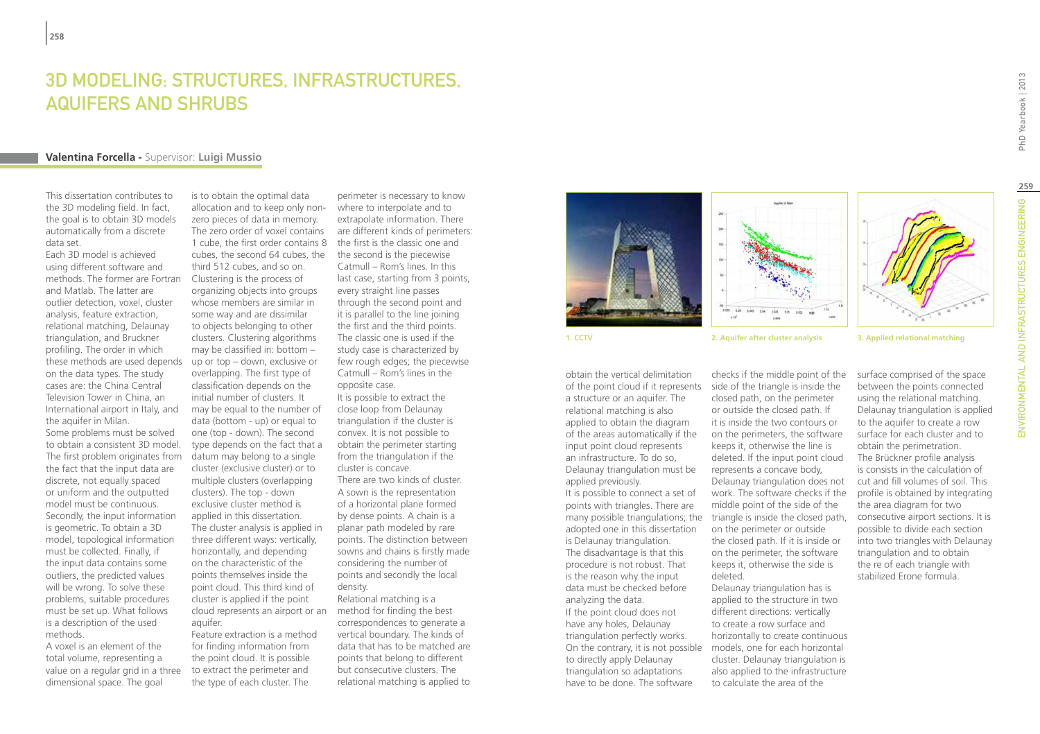# 3D modeling: structures, infrastructures, aquifers and shrubs

### **Valentina Forcella -** Supervisor: **Luigi Mussio**

This dissertation contributes to the 3D modeling field. In fact, the goal is to obtain 3D models automatically from a discrete data set.

Each 3D model is achieved using different software and methods. The former are Fortran and Matlab. The latter are outlier detection, voxel, cluster analysis, feature extraction, relational matching, Delaunay triangulation, and Bruckner profiling. The order in which these methods are used depends on the data types. The study cases are: the China Central Television Tower in China, an International airport in Italy, and the aquifer in Milan. Some problems must be solved to obtain a consistent 3D model. The first problem originates from the fact that the input data are discrete, not equally spaced or uniform and the outputted model must be continuous. Secondly, the input information is geometric. To obtain a 3D model, topological information must be collected. Finally, if the input data contains some outliers, the predicted values will be wrong. To solve these problems, suitable procedures must be set up. What follows is a description of the used methods.

A voxel is an element of the total volume, representing a value on a regular grid in a three dimensional space. The goal

is to obtain the optimal data allocation and to keep only nonzero pieces of data in memory. The zero order of voxel contains 1 cube, the first order contains 8 cubes, the second 64 cubes, the third 512 cubes, and so on. Clustering is the process of organizing objects into groups whose members are similar in some way and are dissimilar to objects belonging to other clusters. Clustering algorithms may be classified in: bottom – up or top – down, exclusive or overlapping. The first type of classification depends on the initial number of clusters. It may be equal to the number of data (bottom - up) or equal to one (top - down). The second type depends on the fact that a datum may belong to a single cluster (exclusive cluster) or to multiple clusters (overlapping clusters). The top - down exclusive cluster method is applied in this dissertation. The cluster analysis is applied in three different ways: vertically, horizontally, and depending on the characteristic of the points themselves inside the point cloud. This third kind of cluster is applied if the point cloud represents an airport or an aquifer. Feature extraction is a method

for finding information from the point cloud. It is possible to extract the perimeter and the type of each cluster. The

perimeter is necessary to know where to interpolate and to extrapolate information. There are different kinds of perimeters: the first is the classic one and the second is the piecewise Catmull – Rom's lines. In this last case, starting from 3 points, every straight line passes through the second point and it is parallel to the line joining the first and the third points. The classic one is used if the study case is characterized by few rough edges; the piecewise Catmull – Rom's lines in the opposite case.

It is possible to extract the close loop from Delaunay triangulation if the cluster is convex. It is not possible to obtain the perimeter starting from the triangulation if the cluster is concave. There are two kinds of cluster.

A sown is the representation of a horizontal plane formed by dense points. A chain is a planar path modeled by rare points. The distinction between sowns and chains is firstly made considering the number of points and secondly the local density.

Relational matching is a method for finding the best correspondences to generate a vertical boundary. The kinds of data that has to be matched are points that belong to different but consecutive clusters. The relational matching is applied to





checks if the middle point of the

obtain the vertical delimitation of the point cloud if it represents side of the triangle is inside the a structure or an aquifer. The relational matching is also applied to obtain the diagram of the areas automatically if the input point cloud represents an infrastructure. To do so, Delaunay triangulation must be applied previously. It is possible to connect a set of points with triangles. There are many possible triangulations; the triangle is inside the closed path, adopted one in this dissertation is Delaunay triangulation. The disadvantage is that this procedure is not robust. That is the reason why the input data must be checked before analyzing the data. If the point cloud does not have any holes, Delaunay triangulation perfectly works. On the contrary, it is not possible models, one for each horizontal to directly apply Delaunay triangulation so adaptations have to be done. The software

**1. CCTV 2. Aquifer after cluster analysis 3. Applied relational matching**

surface comprised of the space between the points connected using the relational matching. Delaunay triangulation is applied to the aquifer to create a row surface for each cluster and to obtain the perimetration. The Brückner profile analysis is consists in the calculation of cut and fill volumes of soil. This profile is obtained by integrating the area diagram for two consecutive airport sections. It is possible to divide each section into two triangles with Delaunay triangulation and to obtain the re of each triangle with stabilized Erone formula.

closed path, on the perimeter or outside the closed path. If it is inside the two contours or on the perimeters, the software keeps it, otherwise the line is deleted. If the input point cloud represents a concave body, Delaunay triangulation does not work. The software checks if the middle point of the side of the on the perimeter or outside the closed path. If it is inside or on the perimeter, the software keeps it, otherwise the side is deleted. Delaunay triangulation has is applied to the structure in two

different directions: vertically to create a row surface and horizontally to create continuous cluster. Delaunay triangulation is also applied to the infrastructure to calculate the area of the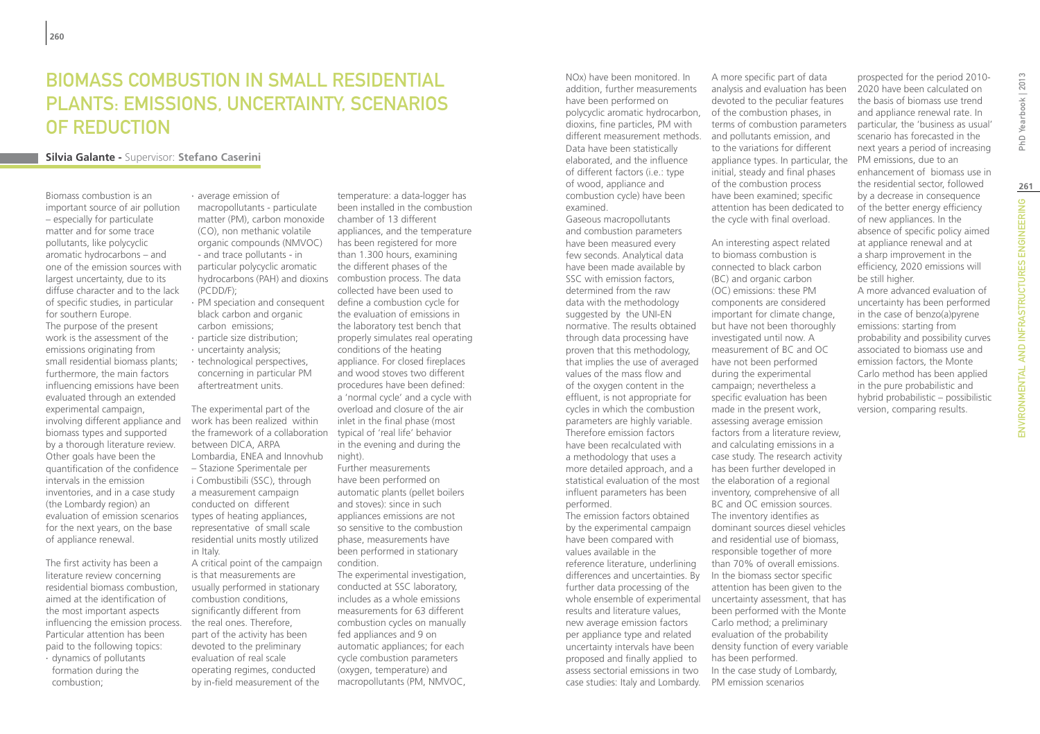# BIOMASS COMBUSTION IN SMALL RESIDENTIAL PLANTS: EMISSIONS, UNCERTAINTY, SCENARIOS OF REDUCTION

## **Silvia Galante -** Supervisor: **Stefano Caserini**

Biomass combustion is an important source of air pollution – especially for particulate matter and for some trace pollutants, like polycyclic aromatic hydrocarbons – and one of the emission sources with largest uncertainty, due to its diffuse character and to the lack of specific studies, in particular for southern Europe. The purpose of the present work is the assessment of the emissions originating from small residential biomass plants; furthermore, the main factors influencing emissions have been evaluated through an extended experimental campaign, involving different appliance and biomass types and supported by a thorough literature review. Other goals have been the quantification of the confidence intervals in the emission inventories, and in a case study (the Lombardy region) an evaluation of emission scenarios for the next years, on the base of appliance renewal.

The first activity has been a literature review concerning residential biomass combustion, aimed at the identification of the most important aspects influencing the emission process. Particular attention has been paid to the following topics:

∙ dynamics of pollutants formation during the combustion;

∙ average emission of macropollutants - particulate matter (PM), carbon monoxide (CO), non methanic volatile organic compounds (NMVOC) - and trace pollutants - in particular polycyclic aromatic hydrocarbons (PAH) and dioxins combustion process. The data (PCDD/F);

- ∙ PM speciation and consequent black carbon and organic carbon emissions;
- ∙ particle size distribution;
- ∙ uncertainty analysis; ∙ technological perspectives, concerning in particular PM aftertreatment units.

The experimental part of the work has been realized within the framework of a collaboration between DICA, ARPA Lombardia, ENEA and Innovhub – Stazione Sperimentale per i Combustibili (SSC), through a measurement campaign conducted on different types of heating appliances, representative of small scale residential units mostly utilized in Italy.

A critical point of the campaign is that measurements are usually performed in stationary combustion conditions, significantly different from the real ones. Therefore, part of the activity has been devoted to the preliminary evaluation of real scale operating regimes, conducted by in-field measurement of the

temperature: a data-logger has been installed in the combustion chamber of 13 different appliances, and the temperature has been registered for more than 1.300 hours, examining the different phases of the collected have been used to define a combustion cycle for the evaluation of emissions in the laboratory test bench that properly simulates real operating conditions of the heating appliance. For closed fireplaces and wood stoves two different procedures have been defined: a 'normal cycle' and a cycle with overload and closure of the air inlet in the final phase (most typical of 'real life' behavior in the evening and during the night).

Further measurements have been performed on automatic plants (pellet boilers and stoves): since in such appliances emissions are not so sensitive to the combustion phase, measurements have been performed in stationary condition.

The experimental investigation, conducted at SSC laboratory, includes as a whole emissions measurements for 63 different combustion cycles on manually fed appliances and 9 on automatic appliances; for each cycle combustion parameters (oxygen, temperature) and macropollutants (PM, NMVOC,

NOx) have been monitored. In addition, further measurements have been performed on polycyclic aromatic hydrocarbon, of the combustion phases, in dioxins, fine particles, PM with different measurement methods. Data have been statistically elaborated, and the influence of different factors (i.e.: type of wood, appliance and combustion cycle) have been examined.

Gaseous macropollutants and combustion parameters have been measured every few seconds. Analytical data have been made available by SSC with emission factors. determined from the raw data with the methodology suggested by the UNI-EN normative. The results obtained through data processing have proven that this methodology, that implies the use of averaged values of the mass flow and of the oxygen content in the effluent, is not appropriate for cycles in which the combustion parameters are highly variable. Therefore emission factors have been recalculated with a methodology that uses a more detailed approach, and a statistical evaluation of the most influent parameters has been performed.

The emission factors obtained by the experimental campaign have been compared with values available in the reference literature, underlining differences and uncertainties. By further data processing of the whole ensemble of experimental results and literature values, new average emission factors per appliance type and related uncertainty intervals have been proposed and finally applied to assess sectorial emissions in two case studies: Italy and Lombardy.

A more specific part of data analysis and evaluation has been devoted to the peculiar features terms of combustion parameters and pollutants emission, and to the variations for different appliance types. In particular, the initial, steady and final phases of the combustion process have been examined: specific attention has been dedicated to the cycle with final overload.

An interesting aspect related to biomass combustion is connected to black carbon (BC) and organic carbon (OC) emissions: these PM components are considered important for climate change, but have not been thoroughly investigated until now. A measurement of BC and OC have not been performed during the experimental campaign; nevertheless a specific evaluation has been made in the present work, assessing average emission factors from a literature review, and calculating emissions in a case study. The research activity has been further developed in the elaboration of a regional inventory, comprehensive of all BC and OC emission sources. The inventory identifies as dominant sources diesel vehicles and residential use of biomass, responsible together of more than 70% of overall emissions. In the biomass sector specific attention has been given to the uncertainty assessment, that has been performed with the Monte Carlo method; a preliminary evaluation of the probability density function of every variable has been performed. In the case study of Lombardy, PM emission scenarios

prospected for the period 2010- 2020 have been calculated on the basis of biomass use trend and appliance renewal rate. In particular, the 'business as usual' scenario has forecasted in the next years a period of increasing PM emissions, due to an enhancement of biomass use in the residential sector, followed by a decrease in consequence of the better energy efficiency of new appliances. In the absence of specific policy aimed at appliance renewal and at a sharp improvement in the efficiency, 2020 emissions will be still higher.

A more advanced evaluation of uncertainty has been performed in the case of benzo(a)pyrene emissions: starting from probability and possibility curves associated to biomass use and emission factors, the Monte Carlo method has been applied in the pure probabilistic and hybrid probabilistic – possibilistic version, comparing results.

Yearbook | 2013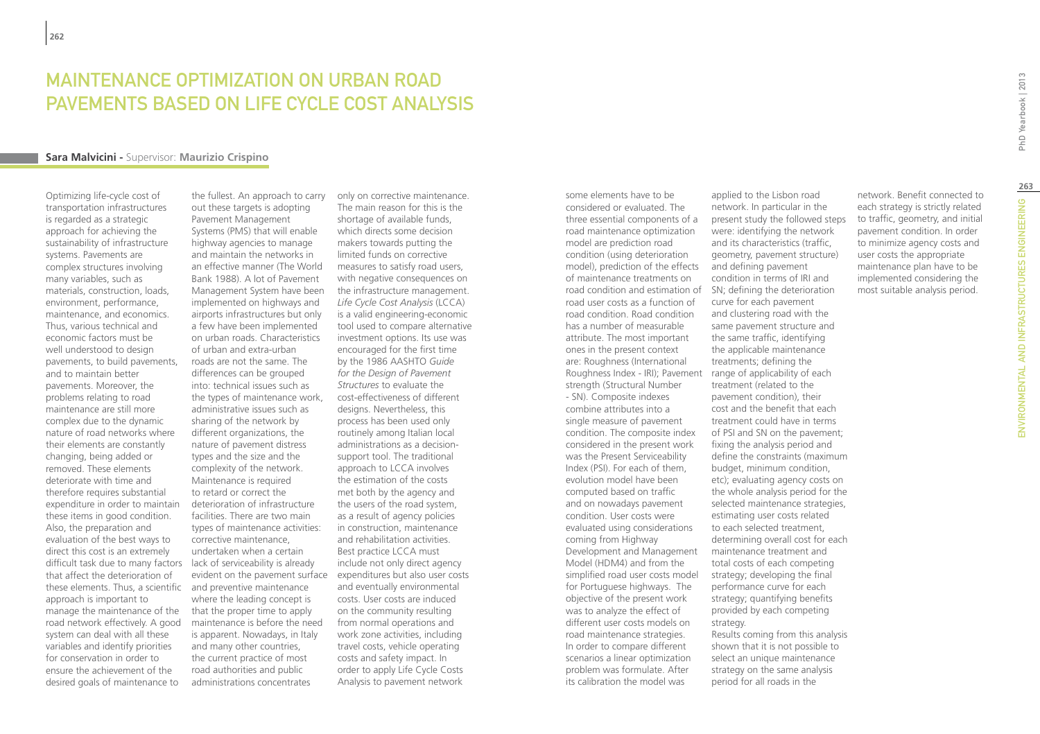## Maintenance optimization on urban road pavements based on Life Cycle Cost Analysis

### **Sara Malvicini -** Supervisor: **Maurizio Crispino**

Optimizing life-cycle cost of transportation infrastructures is regarded as a strategic approach for achieving the sustainability of infrastructure systems. Pavements are complex structures involving many variables, such as materials, construction, loads, environment, performance, maintenance, and economics. Thus, various technical and economic factors must be well understood to design pavements, to build pavements, and to maintain better pavements. Moreover, the problems relating to road maintenance are still more complex due to the dynamic nature of road networks where their elements are constantly changing, being added or removed. These elements deteriorate with time and therefore requires substantial expenditure in order to maintain these items in good condition. Also, the preparation and evaluation of the best ways to direct this cost is an extremely difficult task due to many factors lack of serviceability is already that affect the deterioration of these elements. Thus, a scientific and preventive maintenance approach is important to manage the maintenance of the road network effectively. A good system can deal with all these variables and identify priorities for conservation in order to ensure the achievement of the desired goals of maintenance to

the fullest. An approach to carry out these targets is adopting Pavement Management Systems (PMS) that will enable highway agencies to manage and maintain the networks in an effective manner (The World Bank 1988). A lot of Pavement Management System have been implemented on highways and airports infrastructures but only a few have been implemented on urban roads. Characteristics of urban and extra-urban roads are not the same. The differences can be grouped into: technical issues such as the types of maintenance work, administrative issues such as sharing of the network by different organizations, the nature of pavement distress types and the size and the complexity of the network. Maintenance is required to retard or correct the deterioration of infrastructure facilities. There are two main types of maintenance activities: corrective maintenance, undertaken when a certain evident on the pavement surface expenditures but also user costs where the leading concept is that the proper time to apply maintenance is before the need is apparent. Nowadays, in Italy and many other countries, the current practice of most road authorities and public administrations concentrates

only on corrective maintenance. The main reason for this is the shortage of available funds, which directs some decision makers towards putting the limited funds on corrective measures to satisfy road users, with negative consequences on the infrastructure management. *Life Cycle Cost Analysis* (LCCA) is a valid engineering-economic tool used to compare alternative investment options. Its use was encouraged for the first time by the 1986 AASHTO *Guide for the Design of Pavement Structures* to evaluate the cost-effectiveness of different designs. Nevertheless, this process has been used only routinely among Italian local administrations as a decisionsupport tool. The traditional approach to LCCA involves the estimation of the costs met both by the agency and the users of the road system, as a result of agency policies in construction, maintenance and rehabilitation activities. Best practice LCCA must include not only direct agency and eventually environmental costs. User costs are induced on the community resulting from normal operations and work zone activities, including travel costs, vehicle operating costs and safety impact. In order to apply Life Cycle Costs Analysis to pavement network

some elements have to be considered or evaluated. The three essential components of a road maintenance optimization model are prediction road condition (using deterioration model), prediction of the effects of maintenance treatments on road condition and estimation of SN; defining the deterioration road user costs as a function of road condition. Road condition has a number of measurable attribute. The most important ones in the present context are: Roughness (International Roughness Index - IRI); Pavement strength (Structural Number - SN). Composite indexes combine attributes into a single measure of pavement condition. The composite index considered in the present work was the Present Serviceability Index (PSI). For each of them, evolution model have been computed based on traffic and on nowadays pavement condition. User costs were evaluated using considerations coming from Highway Development and Management Model (HDM4) and from the simplified road user costs model for Portuguese highways. The objective of the present work was to analyze the effect of different user costs models on road maintenance strategies. In order to compare different scenarios a linear optimization problem was formulate. After its calibration the model was

applied to the Lisbon road network. In particular in the present study the followed steps were: identifying the network and its characteristics (traffic, geometry, pavement structure) and defining pavement condition in terms of IRI and curve for each pavement and clustering road with the same pavement structure and the same traffic, identifying the applicable maintenance treatments; defining the range of applicability of each treatment (related to the pavement condition), their cost and the benefit that each treatment could have in terms of PSI and SN on the pavement; fixing the analysis period and define the constraints (maximum budget, minimum condition, etc); evaluating agency costs on the whole analysis period for the selected maintenance strategies, estimating user costs related to each selected treatment, determining overall cost for each maintenance treatment and total costs of each competing strategy; developing the final performance curve for each strategy; quantifying benefits provided by each competing strategy. Results coming from this analysis shown that it is not possible to select an unique maintenance strategy on the same analysis

period for all roads in the

network. Benefit connected to each strategy is strictly related to traffic, geometry, and initial pavement condition. In order to minimize agency costs and user costs the appropriate maintenance plan have to be implemented considering the most suitable analysis period.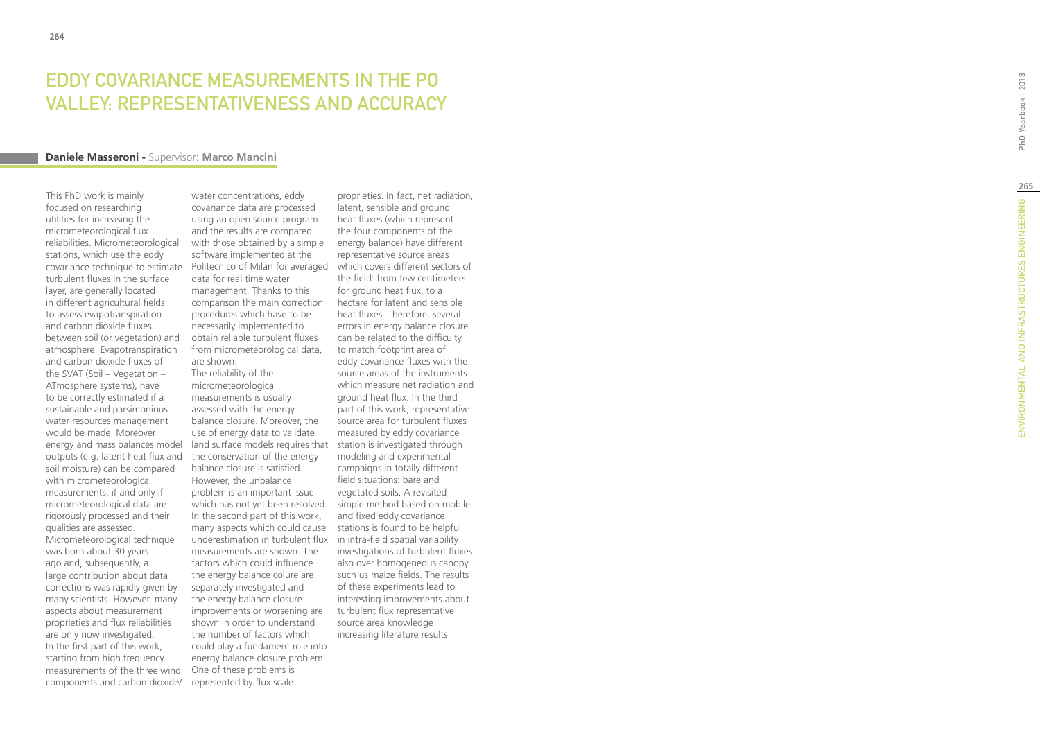## EDDY COVARIANCE MEASUREMENTS IN THE P t Valley: repre sentati veness and acc uracy

### **Daniele Masseroni -** Supervisor: **Marco Mancini**

This PhD work is mainly focused on researching utilities for increasing the micrometeorological flux reliabilities. Micrometeorological stations, which use the eddy covariance technique to estimate turbulent fluxes in the surface layer, are generally located in different agricultural fields to assess evapotranspiration and carbon dioxide fluxes between soil (or vegetation) and atmosphere. Evapotranspiration and carbon dioxide fluxes of the SVAT (Soil – Vegetation – ATmosphere systems), have to be correctly estimated if a sustainable and parsimonious water resources management would be made. Moreover energy and mass balances model outputs (e.g. latent heat flux and soil moisture) can be compared with micrometeorological measurements, if and only if micrometeorological data are rigorously processed and their qualities are assessed. Micrometeorological technique was born about 30 years ago and, subsequently, a large contribution about data corrections was rapidly given by many scientists. However, many aspects about measurement proprieties and flux reliabilities are only now investigated. In the first part of this work, starting from high frequency measurements of the three wind components and carbon dioxide/

water concentrations, eddy covariance data are processed using an open source program and the results are compared with those obtained by a simple software implemented at the Politecnico of Milan for averaged data for real time water management. Thanks to this comparison the main correction procedures which have to be necessarily implemented to obtain reliable turbulent fluxes from micrometeorological data, are shown. The reliability of the micrometeorological measurements is usually assessed with the energy balance closure. Moreover, the use of energy data to validate land surface models requires that station is investigated through the conservation of the energy balance closure is satisfied. However, the unbalance problem is an important issue which has not yet been resolved. simple method based on mobile In the second part of this work, many aspects which could cause underestimation in turbulent flux in intra-field spatial variability measurements are shown. The factors which could influence the energy balance colure are separately investigated and the energy balance closure improvements or worsening are shown in order to understand the number of factors which could play a fundament role into energy balance closure problem. One of these problems is represented by flux scale

proprieties. In fact, net radiation, latent, sensible and ground heat fluxes (which represent the four components of the energy balance) have different representative source areas which covers different sectors of the field: from few centimeters for ground heat flux, to a hectare for latent and sensible heat fluxes. Therefore, several errors in energy balance closure can be related to the difficulty to match footprint area of eddy covariance fluxes with the source areas of the instruments which measure net radiation and ground heat flux. In the third part of this work, representative source area for turbulent fluxes measured by eddy covariance modeling and experimental campaigns in totally different field situations: bare and vegetated soils. A revisited and fixed eddy covariance stations is found to be helpful investigations of turbulent fluxes also over homogeneous canopy such us maize fields. The results of these experiments lead to interesting improvements about turbulent flux representative source area knowledge increasing literature results.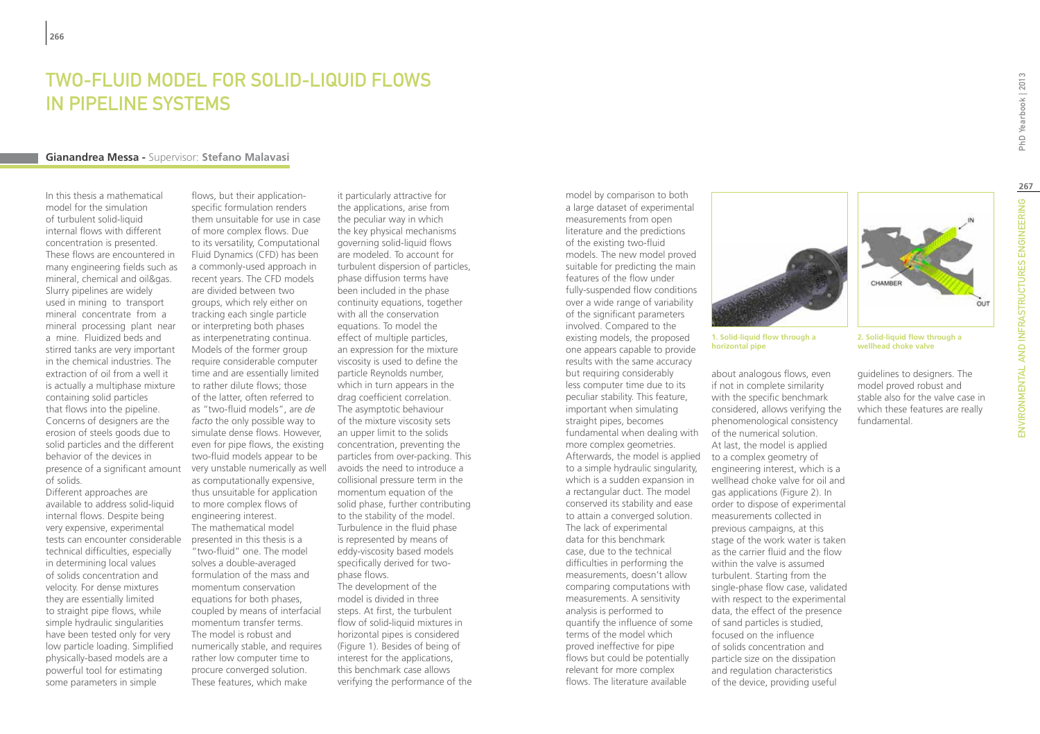# TWO-FLUID MODEL FOR SOLID-LIQUID FLOWS IN PIPELINE SYSTEMS

### **Gianandrea Messa -** Supervisor: **Stefano Malavasi**

In this thesis a mathematical model for the simulation of turbulent solid-liquid internal flows with different concentration is presented. These flows are encountered in many engineering fields such as mineral, chemical and oil&gas. Slurry pipelines are widely used in mining to transport mineral concentrate from a mineral processing plant near a mine. Fluidized beds and stirred tanks are very important in the chemical industries. The extraction of oil from a well it is actually a multiphase mixture containing solid particles that flows into the pipeline. Concerns of designers are the erosion of steels goods due to solid particles and the different behavior of the devices in presence of a significant amount of solids.

Different approaches are available to address solid-liquid internal flows. Despite being very expensive, experimental tests can encounter considerable technical difficulties, especially in determining local values of solids concentration and velocity. For dense mixtures they are essentially limited to straight pipe flows, while simple hydraulic singularities have been tested only for very low particle loading. Simplified physically-based models are a powerful tool for estimating some parameters in simple

flows, but their applicationspecific formulation renders them unsuitable for use in case of more complex flows. Due to its versatility, Computational Fluid Dynamics (CFD) has been a commonly-used approach in recent years. The CFD models are divided between two groups, which rely either on tracking each single particle or interpreting both phases as interpenetrating continua. Models of the former group require considerable computer time and are essentially limited to rather dilute flows; those of the latter, often referred to as "two-fluid models", are *de facto* the only possible way to simulate dense flows. However, even for pipe flows, the existing two-fluid models appear to be very unstable numerically as well as computationally expensive, thus unsuitable for application to more complex flows of engineering interest. The mathematical model presented in this thesis is a "two-fluid" one. The model solves a double-averaged formulation of the mass and momentum conservation equations for both phases, coupled by means of interfacial momentum transfer terms. The model is robust and numerically stable, and requires rather low computer time to procure converged solution. These features, which make

it particularly attractive for the applications, arise from the peculiar way in which the key physical mechanisms governing solid-liquid flows are modeled. To account for turbulent dispersion of particles, phase diffusion terms have been included in the phase continuity equations, together with all the conservation equations. To model the effect of multiple particles, an expression for the mixture viscosity is used to define the particle Reynolds number, which in turn appears in the drag coefficient correlation. The asymptotic behaviour of the mixture viscosity sets an upper limit to the solids concentration, preventing the particles from over-packing. This avoids the need to introduce a collisional pressure term in the momentum equation of the solid phase, further contributing to the stability of the model. Turbulence in the fluid phase is represented by means of eddy-viscosity based models specifically derived for twophase flows. The development of the model is divided in three steps. At first, the turbulent flow of solid-liquid mixtures in horizontal pipes is considered (Figure 1). Besides of being of interest for the applications, this benchmark case allows verifying the performance of the

model by comparison to both a large dataset of experimental measurements from open literature and the predictions of the existing two-fluid models. The new model proved suitable for predicting the main features of the flow under fully-suspended flow conditions over a wide range of variability of the significant parameters involved. Compared to the existing models, the proposed one appears capable to provide results with the same accuracy but requiring considerably less computer time due to its peculiar stability. This feature, important when simulating straight pipes, becomes fundamental when dealing with more complex geometries. Afterwards, the model is applied to a complex geometry of to a simple hydraulic singularity, which is a sudden expansion in a rectangular duct. The model conserved its stability and ease to attain a converged solution. The lack of experimental data for this benchmark case, due to the technical difficulties in performing the measurements, doesn't allow comparing computations with measurements. A sensitivity analysis is performed to quantify the influence of some terms of the model which proved ineffective for pipe flows but could be potentially relevant for more complex flows. The literature available



about analogous flows, even if not in complete similarity with the specific benchmark considered, allows verifying the phenomenological consistency of the numerical solution. At last, the model is applied engineering interest, which is a wellhead choke valve for oil and gas applications (Figure 2). In order to dispose of experimental measurements collected in previous campaigns, at this stage of the work water is taken as the carrier fluid and the flow within the valve is assumed turbulent. Starting from the single-phase flow case, validated with respect to the experimental data, the effect of the presence of sand particles is studied, focused on the influence of solids concentration and particle size on the dissipation and regulation characteristics of the device, providing useful

**2. Solid-liquid flow through a wellhead choke valve**

CHAMBER

guidelines to designers. The model proved robust and stable also for the valve case in which these features are really fundamental.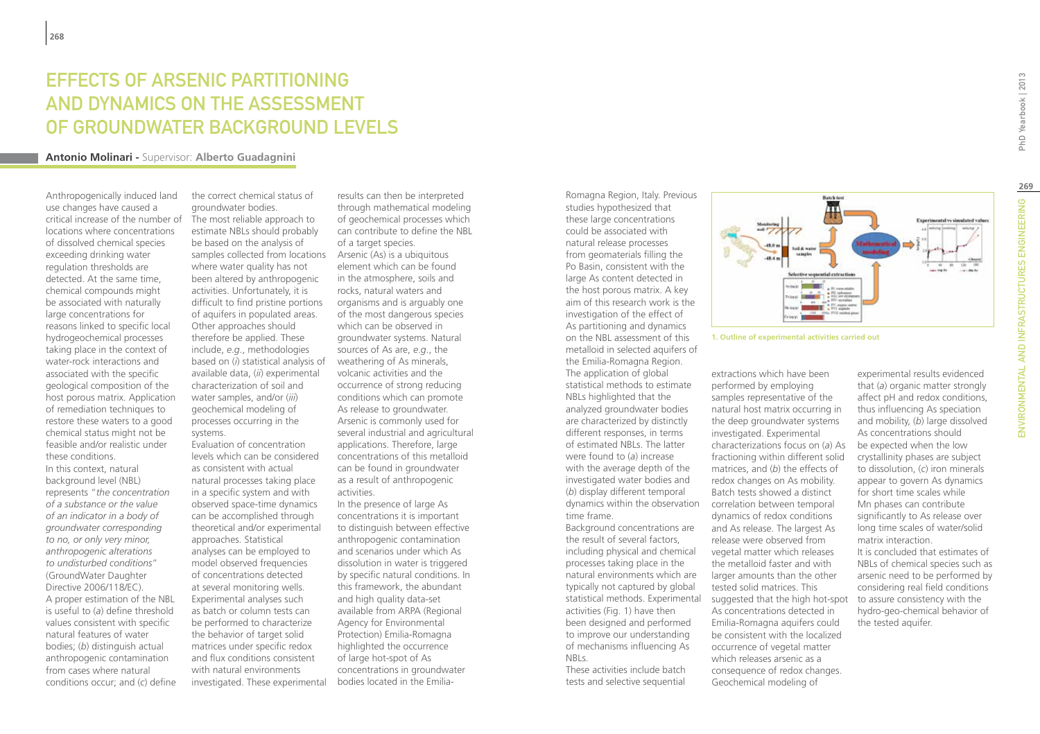# EFFECTS OF ARSENIC PARTITIONING AND DYNAMICS ON THE ASSESSMENT OF GROUNDWATER BACKGROUND LEVELS

### **Antonio Molinari -** Supervisor: **Alberto Guadagnini**

Anthropogenically induced land use changes have caused a critical increase of the number of locations where concentrations of dissolved chemical species exceeding drinking water regulation thresholds are detected. At the same time, chemical compounds might be associated with naturally large concentrations for reasons linked to specific local hydrogeochemical processes taking place in the context of water-rock interactions and associated with the specific geological composition of the host porous matrix. Application of remediation techniques to restore these waters to a good chemical status might not be feasible and/or realistic under these conditions. In this context, natural background level (NBL) represents "*the concentration of a substance or the value of an indicator in a body of groundwater corresponding to no, or only very minor, anthropogenic alterations to undisturbed conditions*" (GroundWater Daughter Directive 2006/118/EC). A proper estimation of the NBL is useful to (*a*) define threshold values consistent with specific natural features of water bodies; (*b*) distinguish actual anthropogenic contamination from cases where natural conditions occur; and (*c*) define

the correct chemical status of groundwater bodies. The most reliable approach to estimate NBLs should probably be based on the analysis of

samples collected from locations where water quality has not been altered by anthropogenic activities. Unfortunately, it is difficult to find pristine portions of aquifers in populated areas. Other approaches should therefore be applied. These include, *e*.*g*., methodologies based on (*i*) statistical analysis of available data, (*ii*) experimental characterization of soil and water samples, and/or (*iii*) geochemical modeling of processes occurring in the systems.

Evaluation of concentration levels which can be considered as consistent with actual natural processes taking place in a specific system and with observed space-time dynamics can be accomplished through theoretical and/or experimental approaches. Statistical analyses can be employed to model observed frequencies of concentrations detected at several monitoring wells. Experimental analyses such as batch or column tests can be performed to characterize the behavior of target solid matrices under specific redox and flux conditions consistent with natural environments investigated. These experimental

results can then be interpreted through mathematical modeling of geochemical processes which can contribute to define the NBL of a target species. Arsenic (As) is a ubiquitous element which can be found in the atmosphere, soils and rocks, natural waters and organisms and is arguably one of the most dangerous species which can be observed in groundwater systems. Natural sources of As are, *e*.*g*., the weathering of As minerals, volcanic activities and the occurrence of strong reducing conditions which can promote As release to groundwater. Arsenic is commonly used for several industrial and agricultural applications. Therefore, large concentrations of this metalloid can be found in groundwater as a result of anthropogenic activities. In the presence of large As concentrations it is important to distinguish between effective anthropogenic contamination and scenarios under which As dissolution in water is triggered

by specific natural conditions. In this framework, the abundant and high quality data-set available from ARPA (Regional Agency for Environmental Protection) Emilia-Romagna highlighted the occurrence of large hot-spot of As concentrations in groundwater bodies located in the Emiliastudies hypothesized that these large concentrations could be associated with natural release processes from geomaterials filling the Po Basin, consistent with the large As content detected in the host porous matrix. A key aim of this research work is the investigation of the effect of As partitioning and dynamics on the NBL assessment of this metalloid in selected aquifers of the Emilia-Romagna Region. The application of global statistical methods to estimate NBLs highlighted that the analyzed groundwater bodies are characterized by distinctly different responses, in terms of estimated NBLs. The latter were found to (*a*) increase with the average depth of the investigated water bodies and (*b*) display different temporal time frame. Background concentrations are the result of several factors, including physical and chemical processes taking place in the natural environments which are typically not captured by global

Romagna Region, Italy. Previous

statistical methods. Experimental activities (Fig. 1) have then been designed and performed to improve our understanding of mechanisms influencing As NBLs.

These activities include batch tests and selective sequential



**1. Outline of experimental activities carried out**

dynamics within the observation correlation between temporal extractions which have been performed by employing samples representative of the natural host matrix occurring in the deep groundwater systems investigated. Experimental characterizations focus on (*a*) As fractioning within different solid matrices, and (*b*) the effects of redox changes on As mobility. Batch tests showed a distinct dynamics of redox conditions and As release. The largest As release were observed from vegetal matter which releases the metalloid faster and with larger amounts than the other tested solid matrices. This suggested that the high hot-spot As concentrations detected in Emilia-Romagna aquifers could be consistent with the localized occurrence of vegetal matter which releases arsenic as a consequence of redox changes. Geochemical modeling of

experimental results evidenced that (*a*) organic matter strongly affect pH and redox conditions. thus influencing As speciation and mobility, (*b*) large dissolved As concentrations should be expected when the low crystallinity phases are subject to dissolution, (*c*) iron minerals appear to govern As dynamics for short time scales while Mn phases can contribute significantly to As release over long time scales of water/solid matrix interaction. It is concluded that estimates of NBLs of chemical species such as arsenic need to be performed by considering real field conditions

to assure consistency with the hydro-geo-chemical behavior of the tested aquifer.

PhD Yearbook | 2013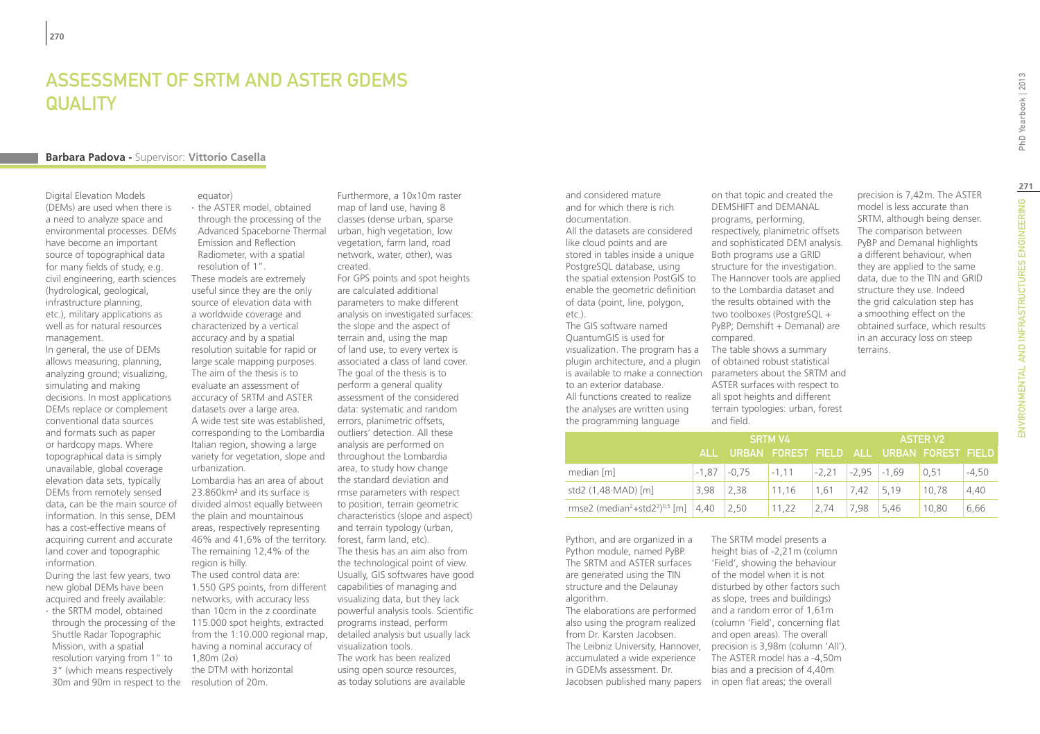# Assessment of SRTM and ASTER GDEMs **QUALITY**

### **Barbara Padova -** Supervisor: **Vittorio Casella**

Digital Elevation Models (DEMs) are used when there is a need to analyze space and environmental processes. DEMs have become an important source of topographical data for many fields of study, e.g. civil engineering, earth sciences (hydrological, geological, infrastructure planning, etc.), military applications as well as for natural resources management. In general, the use of DEMs allows measuring, planning, analyzing ground; visualizing, simulating and making decisions. In most applications DEMs replace or complement conventional data sources and formats such as paper or hardcopy maps. Where topographical data is simply unavailable, global coverage elevation data sets, typically DEMs from remotely sensed data, can be the main source of information. In this sense, DEM has a cost-effective means of acquiring current and accurate land cover and topographic

information. During the last few years, two new global DEMs have been acquired and freely available:

∙ the SRTM model, obtained through the processing of the Shuttle Radar Topographic Mission, with a spatial resolution varying from 1" to 3" (which means respectively 30m and 90m in respect to the equator)

∙ the ASTER model, obtained through the processing of the Advanced Spaceborne Thermal Emission and Reflection Radiometer, with a spatial resolution of 1". These models are extremely useful since they are the only source of elevation data with a worldwide coverage and characterized by a vertical accuracy and by a spatial resolution suitable for rapid or large scale mapping purposes. The aim of the thesis is to evaluate an assessment of accuracy of SRTM and ASTER datasets over a large area. A wide test site was established, corresponding to the Lombardia Italian region, showing a large variety for vegetation, slope and urbanization.

Lombardia has an area of about 23.860km² and its surface is divided almost equally between the plain and mountainous areas, respectively representing 46% and 41,6% of the territory. The remaining 12,4% of the region is hilly.

The used control data are: 1.550 GPS points, from different networks, with accuracy less than 10cm in the z coordinate 115.000 spot heights, extracted from the 1:10.000 regional map, having a nominal accuracy of  $1,80m (2)$ the DTM with horizontal resolution of 20m.

Furthermore, a 10x10m raster map of land use, having 8 classes (dense urban, sparse urban, high vegetation, low vegetation, farm land, road network, water, other), was created.

For GPS points and spot heights are calculated additional parameters to make different analysis on investigated surfaces: the slope and the aspect of terrain and, using the map of land use, to every vertex is associated a class of land cover. The goal of the thesis is to perform a general quality assessment of the considered data: systematic and random errors, planimetric offsets, outliers' detection. All these analysis are performed on throughout the Lombardia area, to study how change the standard deviation and rmse parameters with respect to position, terrain geometric characteristics (slope and aspect) and terrain typology (urban, forest, farm land, etc). The thesis has an aim also from the technological point of view. Usually, GIS softwares have good capabilities of managing and visualizing data, but they lack powerful analysis tools. Scientific programs instead, perform detailed analysis but usually lack visualization tools. The work has been realized using open source resources, as today solutions are available

and considered mature and for which there is rich documentation. All the datasets are considered like cloud points and are stored in tables inside a unique PostgreSQL database, using the spatial extension PostGIS to enable the geometric definition of data (point, line, polygon, etc.).

The GIS software named QuantumGIS is used for visualization. The program has a plugin architecture, and a plugin to an exterior database. All functions created to realize the analyses are written using the programming language

on that topic and created the DEMSHIFT and DEMANAL programs, performing, respectively, planimetric offsets and sophisticated DEM analysis. Both programs use a GRID structure for the investigation. The Hannover tools are applied to the Lombardia dataset and the results obtained with the two toolboxes (PostgreSQL + PyBP; Demshift + Demanal) are compared. The table shows a summary

is available to make a connection parameters about the SRTM and of obtained robust statistical ASTER surfaces with respect to all spot heights and different terrain typologies: urban, forest and field.

precision is 7,42m. The ASTER model is less accurate than SRTM, although being denser. The comparison between PyBP and Demanal highlights a different behaviour, when they are applied to the same data, due to the TIN and GRID structure they use. Indeed the grid calculation step has a smoothing effect on the obtained surface, which results in an accuracy loss on steep terrains.

|                                                                    | <b>SRTM V4</b>  |      |         | <b>ASTER V2</b>         |      |       |                                               |         |
|--------------------------------------------------------------------|-----------------|------|---------|-------------------------|------|-------|-----------------------------------------------|---------|
|                                                                    |                 |      |         |                         |      |       | ALL URBAN FOREST FIELD ALL URBAN FOREST FIELD |         |
| median [m]                                                         | $-1,87$ $-0,75$ |      | $-1.11$ | $-2,21$ $-2,95$ $-1,69$ |      |       | 0,51                                          | $-4,50$ |
| std2 (1,48·MAD) [m]                                                | 3,98            | 2,38 | 11,16   | 1,61                    | 7,42 | 15,19 | 10,78                                         | 4,40    |
| rmse2 (median <sup>2</sup> +std2 <sup>2</sup> ) <sup>0,5</sup> [m] | 4,40            | 2,50 | 11,22   | 2,74                    | 7,98 | 5,46  | 10.80                                         | 6,66    |

Python, and are organized in a Python module, named PyBP. The SRTM and ASTER surfaces are generated using the TIN structure and the Delaunay algorithm. The elaborations are performed

also using the program realized from Dr. Karsten Jacobsen. The Leibniz University, Hannover, accumulated a wide experience in GDEMs assessment. Dr. Jacobsen published many papers in open flat areas; the overall

The SRTM model presents a height bias of -2,21m (column 'Field', showing the behaviour of the model when it is not disturbed by other factors such as slope, trees and buildings) and a random error of 1,61m (column 'Field', concerning flat and open areas). The overall precision is 3,98m (column 'All'). The ASTER model has a -4,50m bias and a precision of 4,40m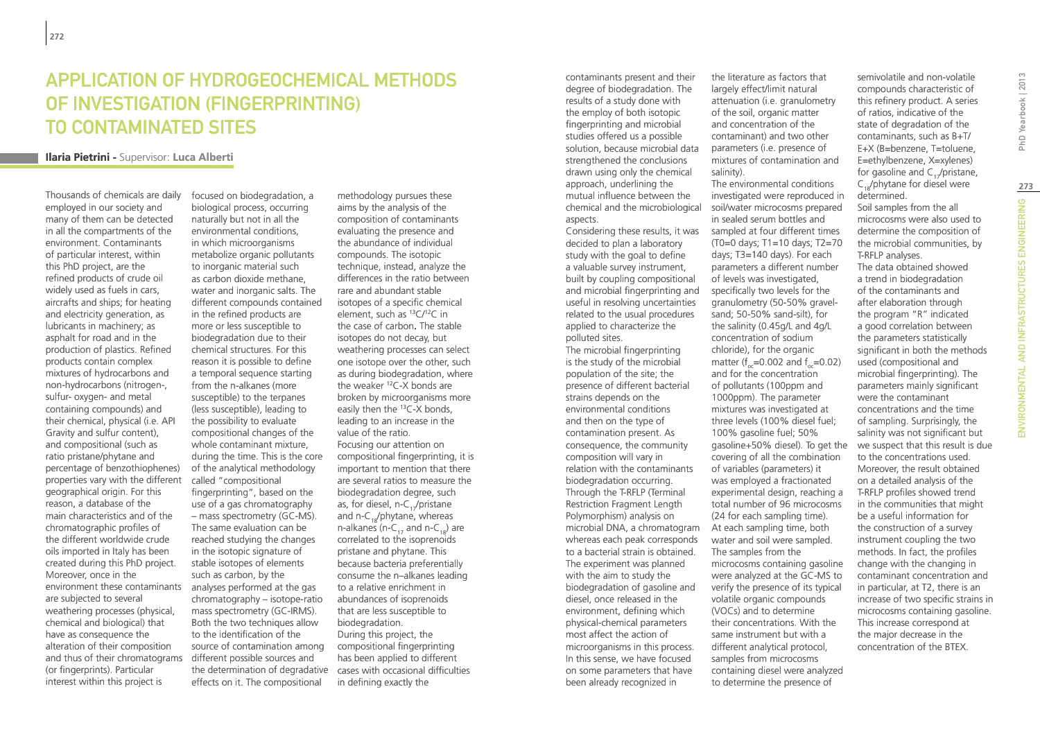# APPLICATION OF HYDROGEOCHEMICAL METHODS OF INVESTIGATION (FINGERPRINTING) TO CONTAMINATED SITES

#### **Ilaria Pietrini -** Supervisor: **Luca Alberti**

Thousands of chemicals are daily employed in our society and many of them can be detected in all the compartments of the environment. Contaminants of particular interest, within this PhD project, are the refined products of crude oil widely used as fuels in cars, aircrafts and ships; for heating and electricity generation, as lubricants in machinery; as asphalt for road and in the production of plastics. Refined products contain complex mixtures of hydrocarbons and non-hydrocarbons (nitrogen-, sulfur- oxygen- and metal containing compounds) and their chemical, physical (i.e. API Gravity and sulfur content), and compositional (such as ratio pristane/phytane and percentage of benzothiophenes) properties vary with the different geographical origin. For this reason, a database of the main characteristics and of the chromatographic profiles of the different worldwide crude oils imported in Italy has been created during this PhD project. Moreover, once in the environment these contaminants are subjected to several weathering processes (physical, chemical and biological) that have as consequence the alteration of their composition and thus of their chromatograms (or fingerprints). Particular interest within this project is

focused on biodegradation, a biological process, occurring naturally but not in all the environmental conditions, in which microorganisms metabolize organic pollutants to inorganic material such as carbon dioxide methane, water and inorganic salts. The different compounds contained in the refined products are more or less susceptible to biodegradation due to their chemical structures. For this reason it is possible to define a temporal sequence starting from the n-alkanes (more susceptible) to the terpanes (less susceptible), leading to the possibility to evaluate compositional changes of the whole contaminant mixture, during the time. This is the core of the analytical methodology called "compositional fingerprinting", based on the use of a gas chromatography – mass spectrometry (GC-MS). The same evaluation can be reached studying the changes in the isotopic signature of stable isotopes of elements such as carbon, by the analyses performed at the gas chromatography – isotope-ratio mass spectrometry (GC-IRMS). Both the two techniques allow to the identification of the source of contamination among different possible sources and the determination of degradative effects on it. The compositional

methodology pursues these aims by the analysis of the composition of contaminants evaluating the presence and the abundance of individual compounds. The isotopic technique, instead, analyze the differences in the ratio between rare and abundant stable isotopes of a specific chemical element, such as 13C/12C in the case of carbon. The stable isotopes do not decay, but weathering processes can select one isotope over the other, such as during biodegradation, where the weaker 12C-X bonds are broken by microorganisms more easily then the <sup>13</sup>C-X bonds, leading to an increase in the value of the ratio. Focusing our attention on compositional fingerprinting, it is important to mention that there are several ratios to measure the biodegradation degree, such as, for diesel,  $n-C_{17}/$ pristane and n-C<sub>18</sub>/phytane, whereas n-alkanes (n- $C_{17}$  and n- $C_{18}$ ) are correlated to the isoprenoids pristane and phytane. This because bacteria preferentially consume the n–alkanes leading to a relative enrichment in abundances of isoprenoids that are less susceptible to biodegradation. During this project, the compositional fingerprinting has been applied to different cases with occasional difficulties in defining exactly the

contaminants present and their degree of biodegradation. The results of a study done with the employ of both isotopic fingerprinting and microbial studies offered us a possible solution, because microbial data strengthened the conclusions drawn using only the chemical approach, underlining the mutual influence between the chemical and the microbiological aspects.

Considering these results, it was decided to plan a laboratory study with the goal to define a valuable survey instrument, built by coupling compositional and microbial fingerprinting and useful in resolving uncertainties related to the usual procedures applied to characterize the polluted sites.

The microbial fingerprinting is the study of the microbial population of the site; the presence of different bacterial strains depends on the environmental conditions and then on the type of contamination present. As consequence, the community composition will vary in relation with the contaminants biodegradation occurring. Through the T-RFLP (Terminal Restriction Fragment Length Polymorphism) analysis on microbial DNA, a chromatogram whereas each peak corresponds to a bacterial strain is obtained. The experiment was planned with the aim to study the biodegradation of gasoline and diesel, once released in the environment, defining which physical-chemical parameters most affect the action of microorganisms in this process. In this sense, we have focused on some parameters that have been already recognized in

the literature as factors that largely effect/limit natural attenuation (i.e. granulometry of the soil, organic matter and concentration of the contaminant) and two other parameters (i.e. presence of mixtures of contamination and salinity). The environmental conditions

investigated were reproduced in soil/water microcosms prepared in sealed serum bottles and sampled at four different times (T0=0 days; T1=10 days; T2=70 days; T3=140 days). For each parameters a different number of levels was investigated, specifically two levels for the granulometry (50-50% gravelsand; 50-50% sand-silt), for the salinity (0.45g/L and 4g/L concentration of sodium chloride), for the organic matter ( $f_c = 0.002$  and  $f_c = 0.02$ ) and for the concentration of pollutants (100ppm and 1000ppm). The parameter mixtures was investigated at three levels (100% diesel fuel; 100% gasoline fuel; 50% gasoline+50% diesel). To get the covering of all the combination of variables (parameters) it was employed a fractionated experimental design, reaching a total number of 96 microcosms (24 for each sampling time). At each sampling time, both water and soil were sampled. The samples from the microcosms containing gasoline were analyzed at the GC-MS to verify the presence of its typical volatile organic compounds (VOCs) and to determine their concentrations. With the same instrument but with a different analytical protocol, samples from microcosms containing diesel were analyzed to determine the presence of

compounds characteristic of this refinery product. A series of ratios, indicative of the state of degradation of the contaminants, such as B+T/ E+X (B=benzene, T=toluene, E=ethylbenzene, X=xylenes) for gasoline and  $C_{17}$ /pristane,  $C_{18}$ /phytane for diesel were determined. Soil samples from the all microcosms were also used to determine the composition of the microbial communities, by T-RFLP analyses. The data obtained showed a trend in biodegradation of the contaminants and after elaboration through the program "R" indicated a good correlation between the parameters statistically significant in both the methods used (compositional and microbial fingerprinting). The parameters mainly significant were the contaminant concentrations and the time of sampling. Surprisingly, the salinity was not significant but we suspect that this result is due to the concentrations used. Moreover, the result obtained on a detailed analysis of the T-RFLP profiles showed trend in the communities that might be a useful information for the construction of a survey instrument coupling the two methods. In fact, the profiles change with the changing in contaminant concentration and in particular, at T2, there is an increase of two specific strains in microcosms containing gasoline. This increase correspond at

the major decrease in the concentration of the BTEX.

semivolatile and non-volatile

Environmental and Infrastructures Engineering PhD Yearbook | 2013 **273**ENVIRONMENTAL AND INFRASTRUCTURES ENGINEERING

PhD Yearbook | 2013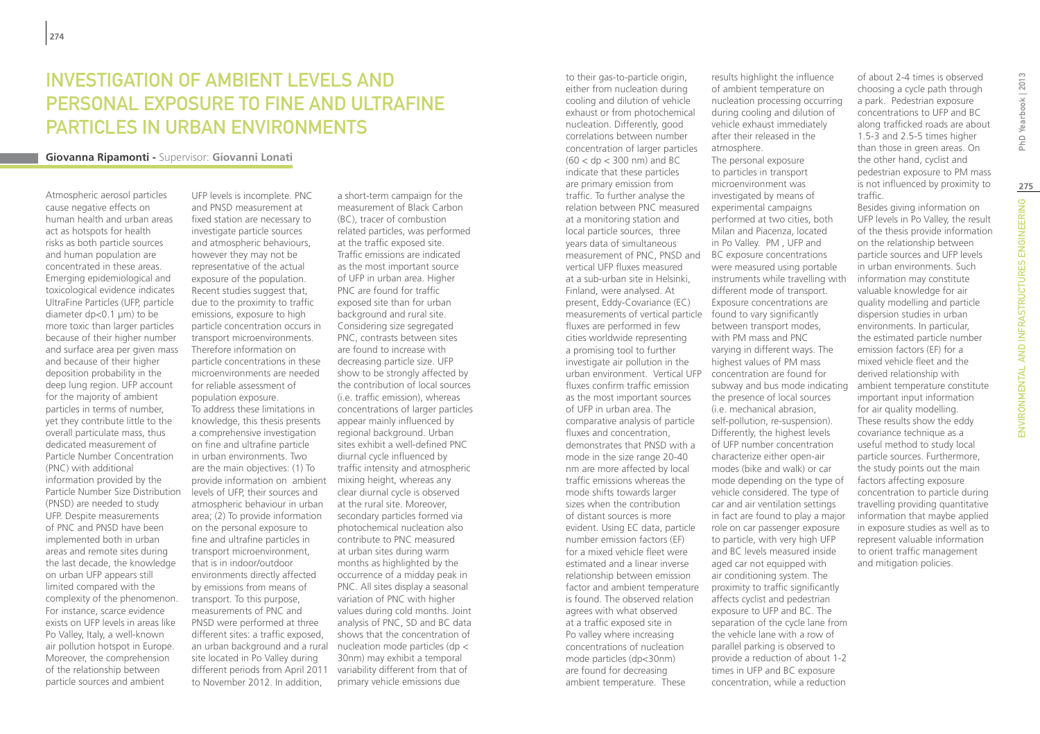# INVESTIGATION OF AMBIENT I FVELS AND personal exposure to fine and ultrafine PARTICLES IN URBAN ENVIRONMENTS

### **Giovanna Ripamonti -** Supervisor: **Giovanni Lonati**

Atmospheric aerosol particles cause negative effects on human health and urban areas act as hotspots for health risks as both particle sources and human population are concentrated in these areas. Emerging epidemiological and toxicological evidence indicates UltraFine Particles (UFP, particle diameter dp<0.1 µm) to be more toxic than larger particles because of their higher number and surface area per given mass and because of their higher deposition probability in the deep lung region. UFP account for the majority of ambient particles in terms of number, yet they contribute little to the overall particulate mass, thus dedicated measurement of Particle Number Concentration (PNC) with additional information provided by the Particle Number Size Distribution (PNSD) are needed to study UFP. Despite measurements of PNC and PNSD have been implemented both in urban areas and remote sites during the last decade, the knowledge on urban UFP appears still limited compared with the complexity of the phenomenon. For instance, scarce evidence exists on UFP levels in areas like Po Valley, Italy, a well-known air pollution hotspot in Europe. Moreover, the comprehension of the relationship between particle sources and ambient

UFP levels is incomplete. PNC and PNSD measurement at fixed station are necessary to investigate particle sources and atmospheric behaviours, however they may not be representative of the actual exposure of the population. Recent studies suggest that, due to the proximity to traffic emissions, exposure to high particle concentration occurs in transport microenvironments. Therefore information on particle concentrations in these microenvironments are needed for reliable assessment of population exposure. To address these limitations in knowledge, this thesis presents a comprehensive investigation on fine and ultrafine particle in urban environments. Two are the main objectives: (1) To provide information on ambient levels of UFP, their sources and atmospheric behaviour in urban area; (2) To provide information on the personal exposure to fine and ultrafine particles in transport microenvironment, that is in indoor/outdoor environments directly affected by emissions from means of transport. To this purpose, measurements of PNC and PNSD were performed at three different sites: a traffic exposed, an urban background and a rural site located in Po Valley during different periods from April 2011 to November 2012. In addition,

a short-term campaign for the measurement of Black Carbon (BC), tracer of combustion related particles, was performed at the traffic exposed site. Traffic emissions are indicated as the most important source of UFP in urban area. Higher PNC are found for traffic exposed site than for urban background and rural site. Considering size segregated PNC, contrasts between sites are found to increase with decreasing particle size. UFP show to be strongly affected by the contribution of local sources (i.e. traffic emission), whereas concentrations of larger particles appear mainly influenced by regional background. Urban sites exhibit a well-defined PNC diurnal cycle influenced by traffic intensity and atmospheric mixing height, whereas any clear diurnal cycle is observed at the rural site. Moreover, secondary particles formed via photochemical nucleation also contribute to PNC measured at urban sites during warm months as highlighted by the occurrence of a midday peak in PNC. All sites display a seasonal variation of PNC with higher values during cold months. Joint analysis of PNC, SD and BC data shows that the concentration of nucleation mode particles (dp < 30nm) may exhibit a temporal variability different from that of primary vehicle emissions due

to their gas-to-particle origin, either from nucleation during cooling and dilution of vehicle exhaust or from photochemical nucleation. Differently, good correlations between number concentration of larger particles  $(60 < dp < 300$  nm) and BC indicate that these particles are primary emission from traffic. To further analyse the relation between PNC measured at a monitoring station and local particle sources, three years data of simultaneous measurement of PNC, PNSD and vertical UFP fluxes measured at a sub-urban site in Helsinki, Finland, were analysed. At present, Eddy-Covariance (EC) measurements of vertical particle found to vary significantly fluxes are performed in few cities worldwide representing a promising tool to further investigate air pollution in the urban environment. Vertical UFP fluxes confirm traffic emission as the most important sources of UFP in urban area. The comparative analysis of particle fluxes and concentration, demonstrates that PNSD with a mode in the size range 20-40 nm are more affected by local traffic emissions whereas the mode shifts towards larger sizes when the contribution of distant sources is more evident. Using EC data, particle number emission factors (EF) for a mixed vehicle fleet were estimated and a linear inverse relationship between emission factor and ambient temperature is found. The observed relation agrees with what observed at a traffic exposed site in Po valley where increasing concentrations of nucleation mode particles (dp<30nm) are found for decreasing ambient temperature. These

results highlight the influence of ambient temperature on nucleation processing occurring during cooling and dilution of vehicle exhaust immediately after their released in the atmosphere. The personal exposure to particles in transport microenvironment was investigated by means of experimental campaigns performed at two cities, both Milan and Piacenza, located in Po Valley. PM , UFP and BC exposure concentrations were measured using portable instruments while travelling with different mode of transport. Exposure concentrations are between transport modes, with PM mass and PNC varying in different ways. The highest values of PM mass concentration are found for subway and bus mode indicating the presence of local sources (i.e. mechanical abrasion, self-pollution, re-suspension). Differently, the highest levels of UFP number concentration characterize either open-air modes (bike and walk) or car mode depending on the type of vehicle considered. The type of car and air ventilation settings in fact are found to play a major role on car passenger exposure to particle, with very high UFP and BC levels measured inside aged car not equipped with air conditioning system. The proximity to traffic significantly affects cyclist and pedestrian exposure to UFP and BC. The separation of the cycle lane from the vehicle lane with a row of parallel parking is observed to provide a reduction of about 1-2 times in UFP and BC exposure concentration, while a reduction

of about 2-4 times is observed choosing a cycle path through a park. Pedestrian exposure concentrations to UFP and BC along trafficked roads are about 1.5-3 and 2.5-5 times higher than those in green areas. On the other hand, cyclist and pedestrian exposure to PM mass is not influenced by proximity to traffic.

Besides giving information on UFP levels in Po Valley, the result of the thesis provide information on the relationship between particle sources and UFP levels in urban environments. Such information may constitute valuable knowledge for air quality modelling and particle dispersion studies in urban environments. In particular, the estimated particle number emission factors (EF) for a mixed vehicle fleet and the derived relationship with ambient temperature constitute important input information for air quality modelling. These results show the eddy covariance technique as a useful method to study local particle sources. Furthermore, the study points out the main factors affecting exposure concentration to particle during travelling providing quantitative information that maybe applied in exposure studies as well as to represent valuable information to orient traffic management and mitigation policies.

**275**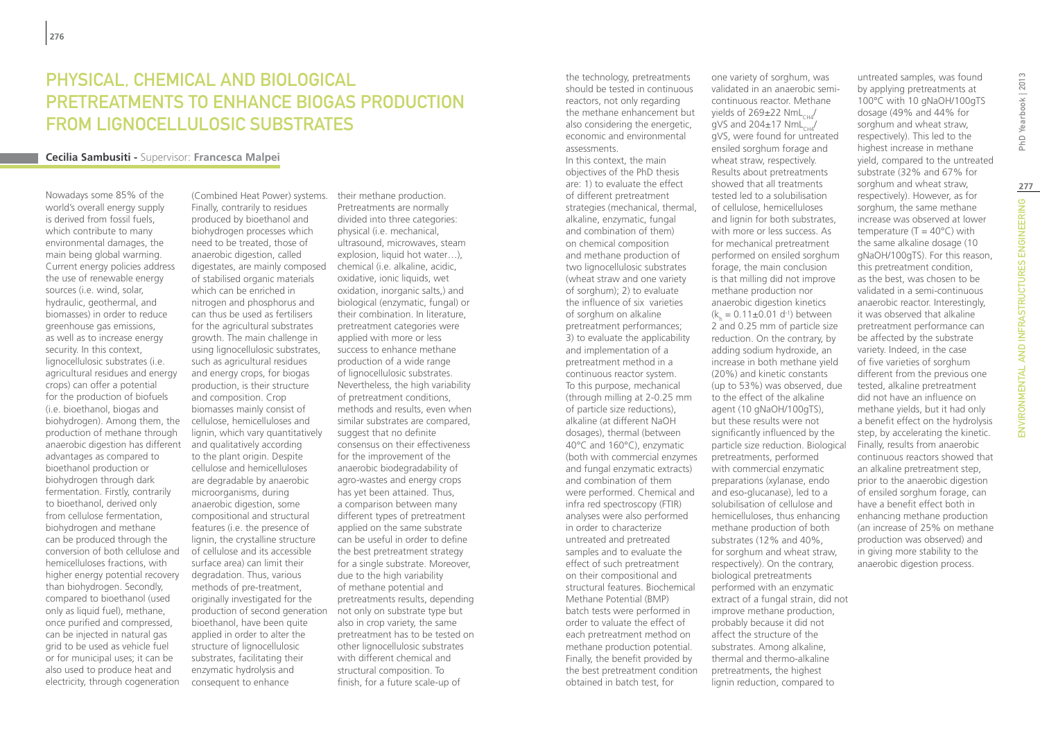## PHYSICAL, CHEMICAL AND BIOLOGICAL PRETREATMENTS to enhance BIOGAS production FROM LIGNOCELLUI OSIC SUBSTRATES

### **Cecilia Sambusiti -** Supervisor: **Francesca Malpei**

Nowadays some 85% of the world's overall energy supply is derived from fossil fuels, which contribute to many environmental damages, the main being global warming. Current energy policies address the use of renewable energy sources (i.e. wind, solar, hydraulic, geothermal, and biomasses) in order to reduce greenhouse gas emissions, as well as to increase energy security. In this context, lignocellulosic substrates (i.e. agricultural residues and energy crops) can offer a potential for the production of biofuels (i.e. bioethanol, biogas and biohydrogen). Among them, the production of methane through anaerobic digestion has different advantages as compared to bioethanol production or biohydrogen through dark fermentation. Firstly, contrarily to bioethanol, derived only from cellulose fermentation, biohydrogen and methane can be produced through the conversion of both cellulose and hemicelluloses fractions, with higher energy potential recovery than biohydrogen. Secondly, compared to bioethanol (used only as liquid fuel), methane, once purified and compressed, can be injected in natural gas grid to be used as vehicle fuel or for municipal uses; it can be also used to produce heat and electricity, through cogeneration

(Combined Heat Power) systems. Finally, contrarily to residues produced by bioethanol and biohydrogen processes which need to be treated, those of anaerobic digestion, called digestates, are mainly composed of stabilised organic materials which can be enriched in nitrogen and phosphorus and can thus be used as fertilisers for the agricultural substrates growth. The main challenge in using lignocellulosic substrates, such as agricultural residues and energy crops, for biogas production, is their structure and composition. Crop biomasses mainly consist of cellulose, hemicelluloses and lignin, which vary quantitatively and qualitatively according to the plant origin. Despite cellulose and hemicelluloses are degradable by anaerobic microorganisms, during anaerobic digestion, some compositional and structural features (i.e. the presence of lignin, the crystalline structure of cellulose and its accessible surface area) can limit their degradation. Thus, various methods of pre-treatment, originally investigated for the production of second generation bioethanol, have been quite applied in order to alter the structure of lignocellulosic substrates, facilitating their enzymatic hydrolysis and consequent to enhance

their methane production. Pretreatments are normally divided into three categories: physical (i.e. mechanical, ultrasound, microwaves, steam explosion, liquid hot water...). chemical (i.e. alkaline, acidic, oxidative, ionic liquids, wet oxidation, inorganic salts,) and biological (enzymatic, fungal) or their combination. In literature, pretreatment categories were applied with more or less success to enhance methane production of a wide range of lignocellulosic substrates. Nevertheless, the high variability of pretreatment conditions, methods and results, even when similar substrates are compared, suggest that no definite consensus on their effectiveness for the improvement of the anaerobic biodegradability of agro-wastes and energy crops has yet been attained. Thus, a comparison between many different types of pretreatment applied on the same substrate can be useful in order to define the best pretreatment strategy for a single substrate. Moreover, due to the high variability of methane potential and pretreatments results, depending not only on substrate type but also in crop variety, the same pretreatment has to be tested on other lignocellulosic substrates with different chemical and structural composition. To finish, for a future scale-up of

the technology, pretreatments should be tested in continuous reactors, not only regarding the methane enhancement but also considering the energetic, economic and environmental assessments.

In this context, the main objectives of the PhD thesis are: 1) to evaluate the effect of different pretreatment strategies (mechanical, thermal, alkaline, enzymatic, fungal and combination of them) on chemical composition and methane production of two lignocellulosic substrates (wheat straw and one variety of sorghum); 2) to evaluate the influence of six varieties of sorghum on alkaline pretreatment performances; 3) to evaluate the applicability and implementation of a pretreatment method in a continuous reactor system. To this purpose, mechanical (through milling at 2-0.25 mm of particle size reductions), alkaline (at different NaOH dosages), thermal (between 40°C and 160°C), enzymatic (both with commercial enzymes and fungal enzymatic extracts) and combination of them were performed. Chemical and infra red spectroscopy (FTIR) analyses were also performed in order to characterize untreated and pretreated samples and to evaluate the effect of such pretreatment on their compositional and structural features. Biochemical Methane Potential (BMP) batch tests were performed in order to valuate the effect of each pretreatment method on methane production potential. Finally, the benefit provided by the best pretreatment condition obtained in batch test, for

one variety of sorghum, was validated in an anaerobic semicontinuous reactor. Methane vields of  $269\pm22$  NmL<sub>cH4</sub>/ gVS and  $204\pm17$  NmL $_{\text{cut}}$ / gVS, were found for untreated ensiled sorghum forage and wheat straw, respectively. Results about pretreatments showed that all treatments tested led to a solubilisation of cellulose, hemicelluloses and lignin for both substrates, with more or less success. As for mechanical pretreatment performed on ensiled sorghum forage, the main conclusion is that milling did not improve methane production nor anaerobic digestion kinetics  $(k_h = 0.11 \pm 0.01 \text{ d}^{-1})$  between 2 and 0.25 mm of particle size reduction. On the contrary, by adding sodium hydroxide, an increase in both methane yield (20%) and kinetic constants (up to 53%) was observed, due to the effect of the alkaline agent (10 gNaOH/100gTS), but these results were not significantly influenced by the particle size reduction. Biological pretreatments, performed with commercial enzymatic preparations (xylanase, endo and eso-glucanase), led to a solubilisation of cellulose and hemicelluloses, thus enhancing methane production of both substrates (12% and 40%, for sorghum and wheat straw, respectively). On the contrary, biological pretreatments performed with an enzymatic extract of a fungal strain, did not improve methane production, probably because it did not affect the structure of the substrates. Among alkaline, thermal and thermo-alkaline pretreatments, the highest lignin reduction, compared to

untreated samples, was found by applying pretreatments at 100°C with 10 gNaOH/100gTS dosage (49% and 44% for sorghum and wheat straw respectively). This led to the highest increase in methane yield, compared to the untreated substrate (32% and 67% for sorghum and wheat straw, respectively). However, as for sorghum, the same methane increase was observed at lower temperature  $(T = 40^{\circ}C)$  with the same alkaline dosage (10 gNaOH/100gTS). For this reason, this pretreatment condition, as the best, was chosen to be validated in a semi-continuous anaerobic reactor. Interestingly, it was observed that alkaline pretreatment performance can be affected by the substrate variety. Indeed, in the case of five varieties of sorghum different from the previous one tested, alkaline pretreatment did not have an influence on methane yields, but it had only a benefit effect on the hydrolysis step, by accelerating the kinetic. Finally, results from anaerobic continuous reactors showed that an alkaline pretreatment step, prior to the anaerobic digestion of ensiled sorghum forage, can have a benefit effect both in enhancing methane production (an increase of 25% on methane production was observed) and in giving more stability to the anaerobic digestion process.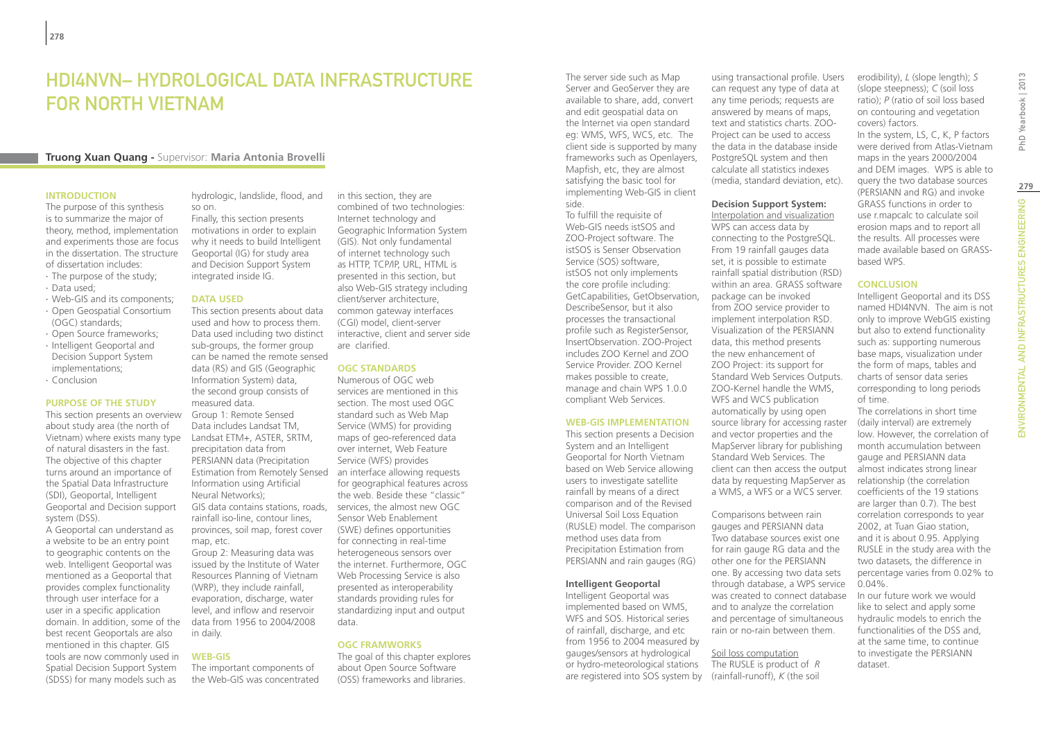# HDI4NVN– Hydrological Data Infrastructure FOR NORTH VIETNAM

### **Truong Xuan Quang -** Supervisor: **Maria Antonia Brovelli**

#### **INTRODUCTION**

The purpose of this synthesis is to summarize the major of theory, method, implementation and experiments those are focus in the dissertation. The structure of dissertation includes:

- ∙ The purpose of the study; ∙ Data used;
- ∙ Web-GIS and its components;
- ∙ Open Geospatial Consortium (OGC) standards;
- ∙ Open Source frameworks; ∙ Intelligent Geoportal and Decision Support System
- implementations; ∙ Conclusion

#### **PURPOSE OF THE STUDY**

This section presents an overview about study area (the north of Vietnam) where exists many type of natural disasters in the fast. The objective of this chapter turns around an importance of the Spatial Data Infrastructure (SDI), Geoportal, Intelligent Geoportal and Decision support system (DSS).

A Geoportal can understand as a website to be an entry point to geographic contents on the web. Intelligent Geoportal was mentioned as a Geoportal that provides complex functionality through user interface for a user in a specific application domain. In addition, some of the

best recent Geoportals are also mentioned in this chapter. GIS tools are now commonly used in Spatial Decision Support System (SDSS) for many models such as

hydrologic, landslide, flood, and so on.

Finally, this section presents motivations in order to explain why it needs to build Intelligent Geoportal (IG) for study area and Decision Support System integrated inside IG.

#### **DATA USED**

This section presents about data used and how to process them. Data used including two distinct sub-groups, the former group can be named the remote sensed data (RS) and GIS (Geographic Information System) data, the second group consists of measured data. Group 1: Remote Sensed Data includes Landsat TM, Landsat ETM+, ASTER, SRTM, precipitation data from PERSIANN data (Precipitation Estimation from Remotely Sensed Information using Artificial Neural Networks); GIS data contains stations, roads, rainfall iso-line, contour lines, provinces, soil map, forest cover map, etc. Group 2: Measuring data was issued by the Institute of Water Resources Planning of Vietnam (WRP), they include rainfall, evaporation, discharge, water level, and inflow and reservoir data from 1956 to 2004/2008 in daily.

#### **WEB-GIS**

The important components of the Web-GIS was concentrated in this section, they are combined of two technologies: Internet technology and Geographic Information System (GIS). Not only fundamental of internet technology such as HTTP, TCP/IP, URL, HTML is presented in this section, but also Web-GIS strategy including client/server architecture, common gateway interfaces (CGI) model, client-server interactive, client and server side are clarified.

### **OGC STANDARDS**

Numerous of OGC web services are mentioned in this section. The most used OGC standard such as Web Map Service (WMS) for providing maps of geo-referenced data over internet, Web Feature Service (WFS) provides an interface allowing requests for geographical features across the web. Beside these "classic" services, the almost new OGC Sensor Web Enablement (SWE) defines opportunities for connecting in real-time heterogeneous sensors over the internet. Furthermore, OGC Web Processing Service is also presented as interoperability standards providing rules for standardizing input and output data.

#### **OGC FRAMWORKS**

The goal of this chapter explores about Open Source Software (OSS) frameworks and libraries.

The server side such as Map Server and GeoServer they are available to share, add, convert and edit geospatial data on the Internet via open standard eg: WMS, WFS, WCS, etc. The client side is supported by many frameworks such as Openlayers, Mapfish, etc, they are almost satisfying the basic tool for implementing Web-GIS in client side.

To fulfill the requisite of Web-GIS needs istSOS and ZOO-Project software. The istSOS is Senser Observation Service (SOS) software, istSOS not only implements the core profile including: GetCapabilities, GetObservation, DescribeSensor, but it also processes the transactional profile such as RegisterSensor, InsertObservation. ZOO-Project includes ZOO Kernel and ZOO Service Provider. ZOO Kernel makes possible to create, manage and chain WPS 1.0.0 compliant Web Services.

#### **WEB-GIS IMPLEMENTATION**

This section presents a Decision System and an Intelligent Geoportal for North Vietnam based on Web Service allowing users to investigate satellite rainfall by means of a direct comparison and of the Revised Universal Soil Loss Equation (RUSLE) model. The comparison method uses data from Precipitation Estimation from PERSIANN and rain gauges (RG)

#### **Intelligent Geoportal**

Intelligent Geoportal was implemented based on WMS, WFS and SOS. Historical series of rainfall, discharge, and etc from 1956 to 2004 measured by gauges/sensors at hydrological or hydro-meteorological stations are registered into SOS system by

using transactional profile. Users can request any type of data at any time periods; requests are answered by means of maps, text and statistics charts. ZOO-Project can be used to access the data in the database inside PostgreSQL system and then calculate all statistics indexes (media, standard deviation, etc).

#### **Decision Support System:**

Interpolation and visualization WPS can access data by connecting to the PostgreSQL. From 19 rainfall gauges data set, it is possible to estimate rainfall spatial distribution (RSD) within an area. GRASS software package can be invoked from ZOO service provider to implement interpolation RSD. Visualization of the PERSIANN data, this method presents the new enhancement of ZOO Project: its support for Standard Web Services Outputs. ZOO-Kernel handle the WMS, WFS and WCS publication automatically by using open source library for accessing raster and vector properties and the MapServer library for publishing Standard Web Services. The client can then access the output data by requesting MapServer as a WMS, a WFS or a WCS server.

Comparisons between rain gauges and PERSIANN data Two database sources exist one for rain gauge RG data and the other one for the PERSIANN one. By accessing two data sets through database, a WPS service was created to connect database and to analyze the correlation and percentage of simultaneous rain or no-rain between them.

#### Soil loss computation The RUSLE is product of *R* (rainfall-runoff), *K* (the soil

erodibility), *L* (slope length); *S* (slope steepness); *C* (soil loss ratio); *P* (ratio of soil loss based on contouring and vegetation covers) factors.

In the system, LS, C, K, P factors were derived from Atlas-Vietnam maps in the years 2000/2004 and DEM images. WPS is able to query the two database sources (PERSIANN and RG) and invoke GRASS functions in order to use r.mapcalc to calculate soil erosion maps and to report all the results. All processes were made available based on GRASSbased WPS.

### **CONCLUSION**

Intelligent Geoportal and its DSS named HDI4NVN. The aim is not only to improve WebGIS existing but also to extend functionality such as: supporting numerous base maps, visualization under the form of maps, tables and charts of sensor data series corresponding to long periods of time.

The correlations in short time (daily interval) are extremely low. However, the correlation of month accumulation between gauge and PERSIANN data almost indicates strong linear relationship (the correlation coefficients of the 19 stations are larger than 0.7). The best correlation corresponds to year 2002, at Tuan Giao station, and it is about 0.95. Applying RUSLE in the study area with the two datasets, the difference in percentage varies from 0.02% to 0.04%.

In our future work we would like to select and apply some hydraulic models to enrich the functionalities of the DSS and, at the same time, to continue to investigate the PERSIANN dataset.